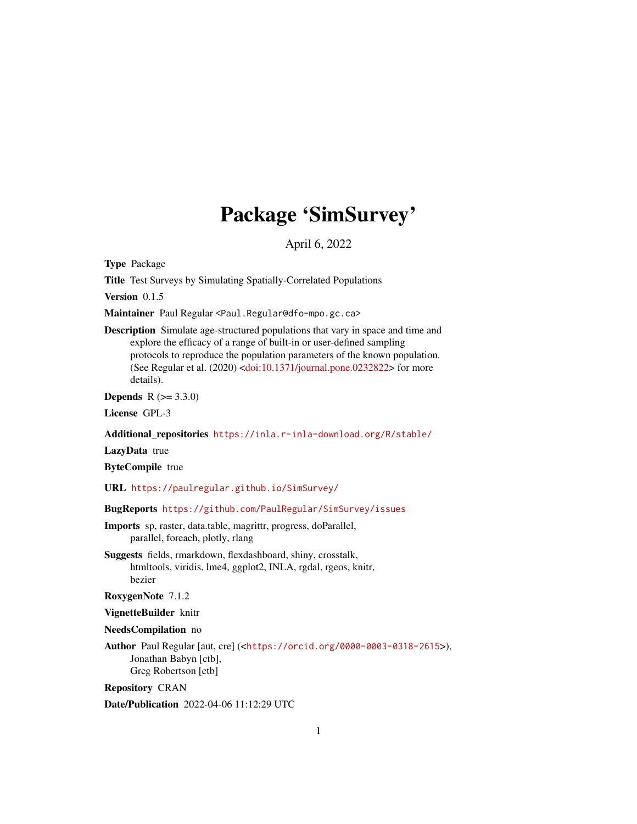# Package 'SimSurvey'

April 6, 2022

<span id="page-0-0"></span>Type Package

Title Test Surveys by Simulating Spatially-Correlated Populations

Version 0.1.5

Maintainer Paul Regular <Paul.Regular@dfo-mpo.gc.ca>

Description Simulate age-structured populations that vary in space and time and explore the efficacy of a range of built-in or user-defined sampling protocols to reproduce the population parameters of the known population. (See Regular et al.  $(2020)$  [<doi:10.1371/journal.pone.0232822>](https://doi.org/10.1371/journal.pone.0232822) for more details).

**Depends** R  $(>= 3.3.0)$ 

License GPL-3

Additional\_repositories <https://inla.r-inla-download.org/R/stable/>

LazyData true

ByteCompile true

URL <https://paulregular.github.io/SimSurvey/>

BugReports <https://github.com/PaulRegular/SimSurvey/issues>

Imports sp, raster, data.table, magrittr, progress, doParallel, parallel, foreach, plotly, rlang

Suggests fields, rmarkdown, flexdashboard, shiny, crosstalk, htmltools, viridis, lme4, ggplot2, INLA, rgdal, rgeos, knitr, bezier

RoxygenNote 7.1.2

VignetteBuilder knitr

NeedsCompilation no

Author Paul Regular [aut, cre] (<<https://orcid.org/0000-0003-0318-2615>>), Jonathan Babyn [ctb], Greg Robertson [ctb]

Repository CRAN

Date/Publication 2022-04-06 11:12:29 UTC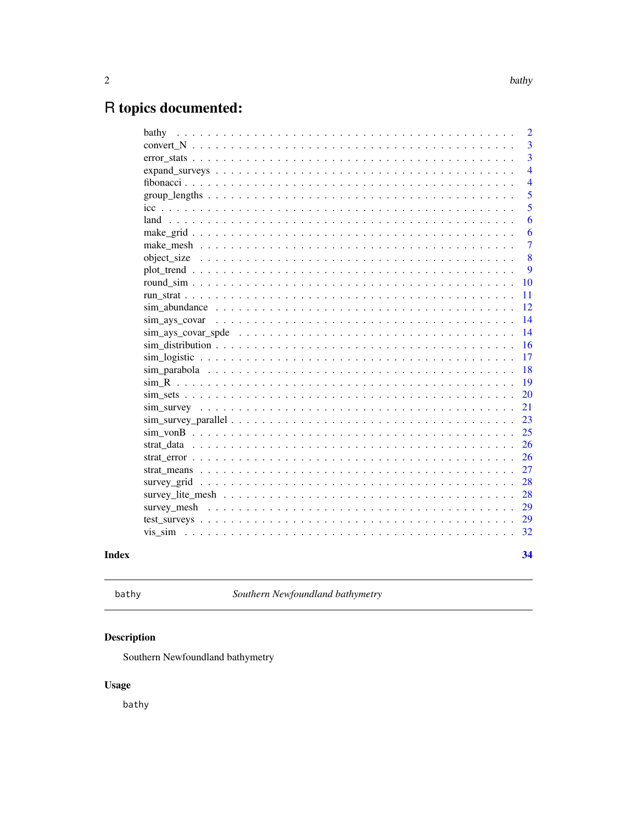# <span id="page-1-0"></span>R topics documented:

| bathy         | $\overline{2}$ |
|---------------|----------------|
|               | 3              |
|               | 3              |
|               | $\overline{4}$ |
|               | $\overline{4}$ |
|               | 5              |
|               | 5              |
|               | 6              |
|               | 6              |
|               | $\overline{7}$ |
|               | 8              |
|               | 9              |
|               | 10             |
|               | 11             |
|               | 12             |
| sim ays covar | 14             |
|               | 14             |
|               | 16             |
|               | 17             |
|               | 18             |
|               | 19             |
|               | 20             |
|               | 21             |
|               | 23             |
|               | 25             |
|               | 26             |
|               | 26             |
|               | 27             |
|               | 28             |
|               | 28             |
|               | 29             |
|               | 29             |
|               | 32             |
|               |                |
|               | 34             |

## **Index**

```
bathy
```
Southern Newfoundland bathymetry

## Description

Southern Newfoundland bathymetry

## **Usage**

bathy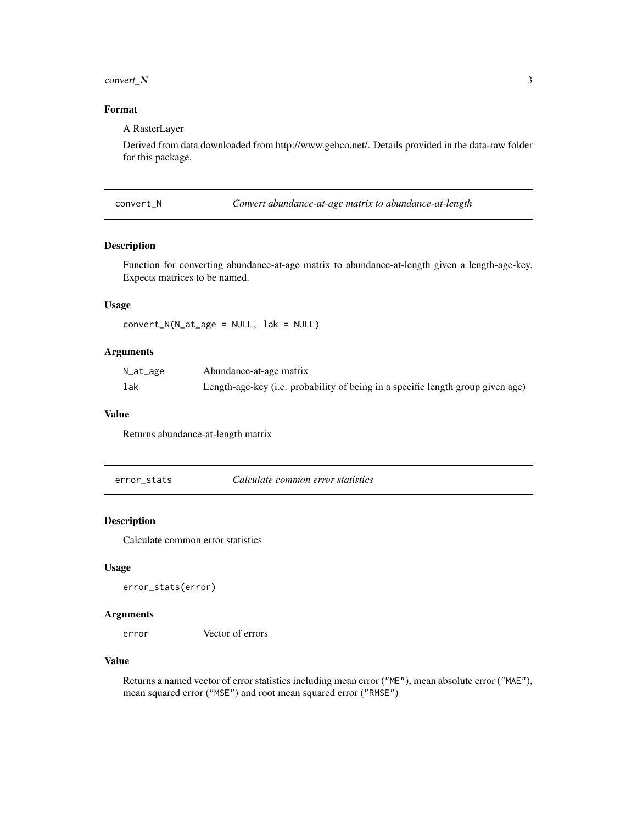#### <span id="page-2-0"></span> $convert_N$  3

#### Format

A RasterLayer

Derived from data downloaded from http://www.gebco.net/. Details provided in the data-raw folder for this package.

convert\_N *Convert abundance-at-age matrix to abundance-at-length*

#### Description

Function for converting abundance-at-age matrix to abundance-at-length given a length-age-key. Expects matrices to be named.

#### Usage

convert\_N(N\_at\_age = NULL, lak = NULL)

#### Arguments

| N_at_age | Abundance-at-age matrix                                                         |
|----------|---------------------------------------------------------------------------------|
| lak      | Length-age-key (i.e. probability of being in a specific length group given age) |

#### Value

Returns abundance-at-length matrix

error\_stats *Calculate common error statistics*

#### Description

Calculate common error statistics

#### Usage

error\_stats(error)

#### Arguments

error Vector of errors

#### Value

Returns a named vector of error statistics including mean error ("ME"), mean absolute error ("MAE"), mean squared error ("MSE") and root mean squared error ("RMSE")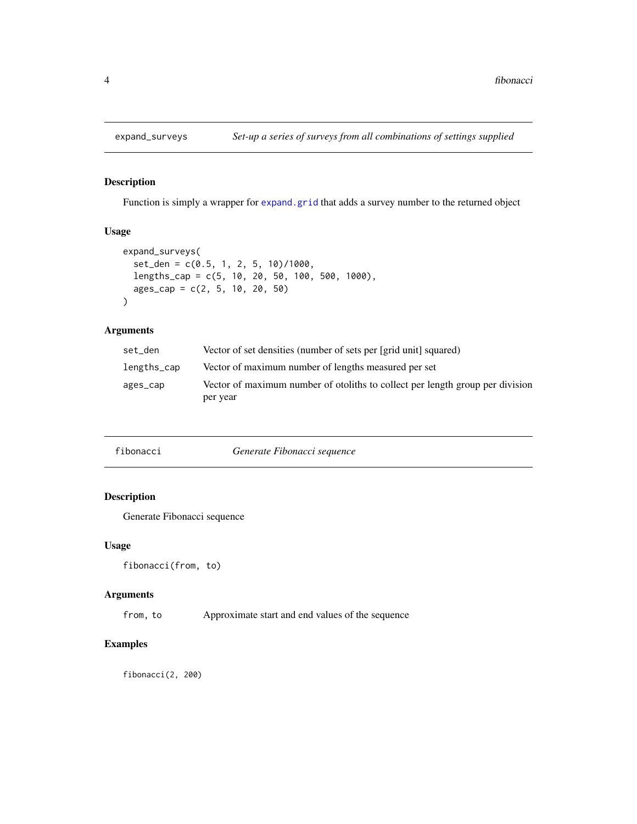<span id="page-3-1"></span><span id="page-3-0"></span>

Function is simply a wrapper for [expand.grid](#page-0-0) that adds a survey number to the returned object

#### Usage

```
expand_surveys(
  set_den = c(0.5, 1, 2, 5, 10)/1000,
  lengths_cap = c(5, 10, 20, 50, 100, 500, 1000),
  ages_cap = c(2, 5, 10, 20, 50)
\mathcal{E}
```
#### Arguments

| set_den     | Vector of set densities (number of sets per [grid unit] squared)                          |
|-------------|-------------------------------------------------------------------------------------------|
| lengths_cap | Vector of maximum number of lengths measured per set                                      |
| ages_cap    | Vector of maximum number of otoliths to collect per length group per division<br>per year |

| fibonacci | Generate Fibonacci sequence |  |
|-----------|-----------------------------|--|
|-----------|-----------------------------|--|

#### Description

Generate Fibonacci sequence

#### Usage

```
fibonacci(from, to)
```
#### Arguments

from, to Approximate start and end values of the sequence

#### Examples

fibonacci(2, 200)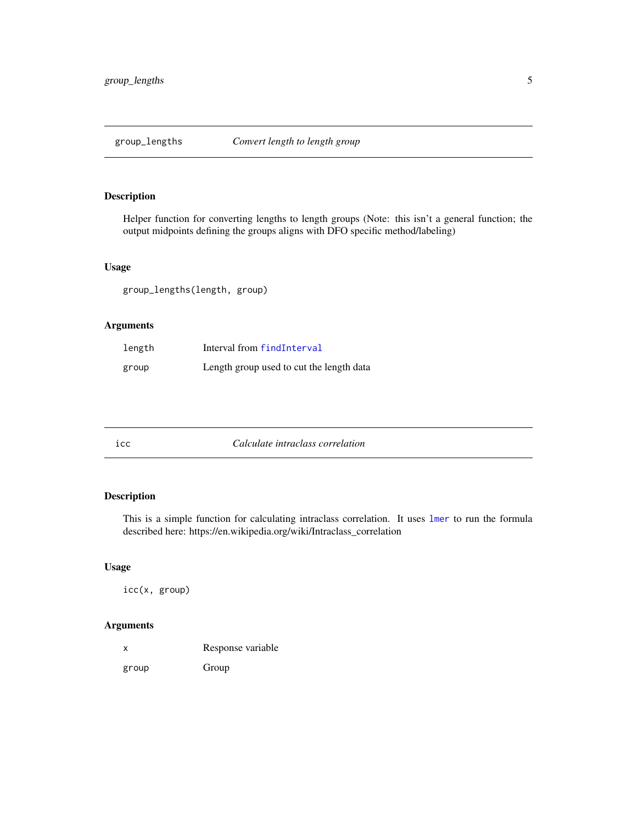<span id="page-4-1"></span><span id="page-4-0"></span>

Helper function for converting lengths to length groups (Note: this isn't a general function; the output midpoints defining the groups aligns with DFO specific method/labeling)

#### Usage

group\_lengths(length, group)

#### Arguments

| length | Interval from findInterval               |
|--------|------------------------------------------|
| group  | Length group used to cut the length data |

| ıcc | Calculate intraclass correlation |  |
|-----|----------------------------------|--|
|     |                                  |  |

#### Description

This is a simple function for calculating intraclass correlation. It uses [lmer](#page-0-0) to run the formula described here: https://en.wikipedia.org/wiki/Intraclass\_correlation

#### Usage

icc(x, group)

#### Arguments

| x     | Response variable |  |
|-------|-------------------|--|
| group | Group             |  |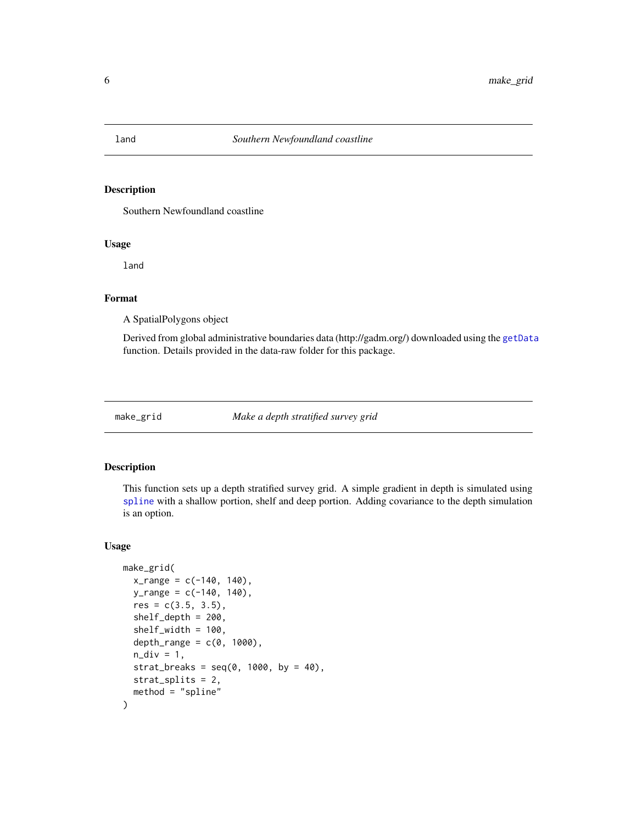<span id="page-5-0"></span>

Southern Newfoundland coastline

#### Usage

land

#### Format

A SpatialPolygons object

Derived from global administrative boundaries data (http://gadm.org/) downloaded using the [getData](#page-0-0) function. Details provided in the data-raw folder for this package.

<span id="page-5-1"></span>

make\_grid *Make a depth stratified survey grid*

#### Description

This function sets up a depth stratified survey grid. A simple gradient in depth is simulated using [spline](#page-0-0) with a shallow portion, shelf and deep portion. Adding covariance to the depth simulation is an option.

#### Usage

```
make_grid(
  x_{range} = c(-140, 140),
  y_{range} = c(-140, 140),
  res = c(3.5, 3.5),shelf_depth = 200,
  shelf_width = 100,
  depth_range = c(0, 1000),
  n\_div = 1,
  strat_breaks = seq(0, 1000, by = 40),
  strat_splits = 2,
  method = "spline"
)
```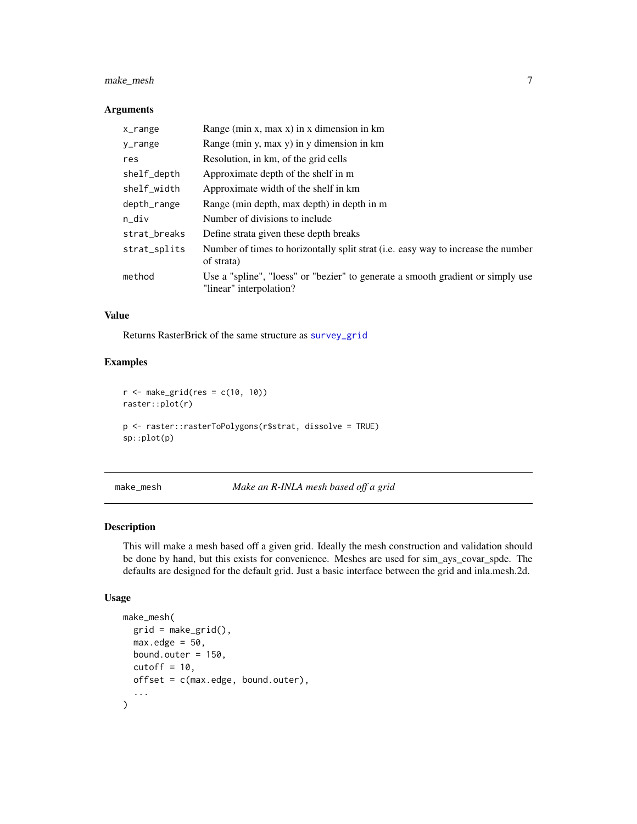#### <span id="page-6-0"></span>make\_mesh 7

#### Arguments

| x_range      | Range (min $x$ , max $x$ ) in $x$ dimension in $km$                                                        |
|--------------|------------------------------------------------------------------------------------------------------------|
| y_range      | Range (min y, max y) in y dimension in km                                                                  |
| res          | Resolution, in km, of the grid cells                                                                       |
| shelf_depth  | Approximate depth of the shelf in m                                                                        |
| shelf_width  | Approximate width of the shelf in km                                                                       |
| depth_range  | Range (min depth, max depth) in depth in m                                                                 |
| $n_d$ iv     | Number of divisions to include                                                                             |
| strat_breaks | Define strata given these depth breaks                                                                     |
| strat_splits | Number of times to horizontally split strat (i.e. easy way to increase the number<br>of strata)            |
| method       | Use a "spline", "loess" or "bezier" to generate a smooth gradient or simply use<br>"linear" interpolation? |

#### Value

Returns RasterBrick of the same structure as [survey\\_grid](#page-27-1)

#### Examples

```
r \le make_grid(res = c(10, 10))
raster::plot(r)
p <- raster::rasterToPolygons(r$strat, dissolve = TRUE)
sp::plot(p)
```
make\_mesh *Make an R-INLA mesh based off a grid*

#### Description

This will make a mesh based off a given grid. Ideally the mesh construction and validation should be done by hand, but this exists for convenience. Meshes are used for sim\_ays\_covar\_spde. The defaults are designed for the default grid. Just a basic interface between the grid and inla.mesh.2d.

#### Usage

```
make_mesh(
 grid = make\_grid(),
 max.edge = 50,
 bound.outer = 150,
  cutoff = 10,
 offset = c(max.edge, bound.outer),
  ...
\mathcal{E}
```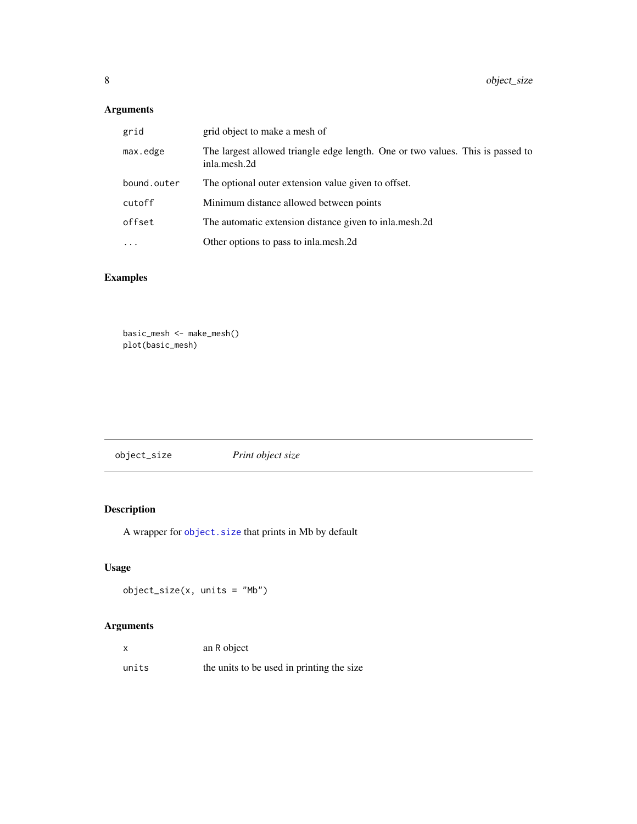#### <span id="page-7-0"></span>Arguments

| grid        | grid object to make a mesh of                                                                  |
|-------------|------------------------------------------------------------------------------------------------|
| max.edge    | The largest allowed triangle edge length. One or two values. This is passed to<br>inla.mesh.2d |
| bound.outer | The optional outer extension value given to offset.                                            |
| cutoff      | Minimum distance allowed between points                                                        |
| offset      | The automatic extension distance given to inla.mesh.2d.                                        |
| $\cdots$    | Other options to pass to inla.mesh.2d                                                          |

## Examples

```
basic_mesh <- make_mesh()
plot(basic_mesh)
```

| object_size | Print object size |
|-------------|-------------------|
|             |                   |

## Description

A wrapper for [object.size](#page-0-0) that prints in Mb by default

#### Usage

 $object\_size(x, units = "Mb")$ 

#### Arguments

| X     | an R object                               |
|-------|-------------------------------------------|
| units | the units to be used in printing the size |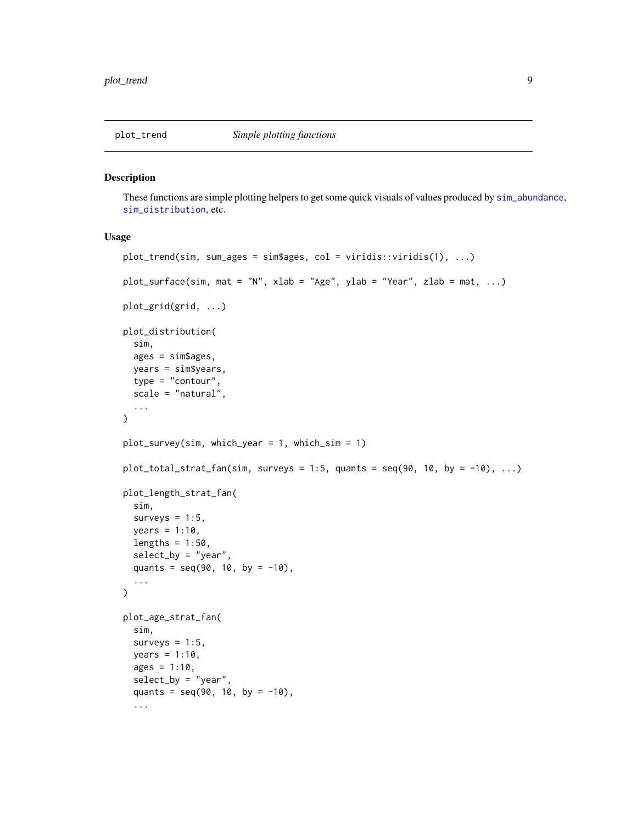<span id="page-8-0"></span>

These functions are simple plotting helpers to get some quick visuals of values produced by [sim\\_abundance](#page-11-1), [sim\\_distribution](#page-15-1), etc.

#### Usage

```
plot_trend(sim, sum_ages = sim$ages, col = viridis::viridis(1), ...)
plot_surface(sim, mat = "N", xlab = "Age", ylab = "Year", zlab = mat, ...)
plot_grid(grid, ...)
plot_distribution(
  sim,
  ages = sim$ages,
 years = sim$years,
  type = "contour",
  scale = "natural",
  ...
\mathcal{L}plot_survey(sim, which_year = 1, which_sim = 1)
plot\_total\_strat\_fan(sim, \text{ surveys} = 1:5, \text{ quants} = seq(90, 10, \text{ by } = -10), ...plot_length_strat_fan(
  sim,
  surveys = 1:5,
 years = 1:10,lengths = 1:50,
  select_by = "year",
  quants = seq(90, 10, by = -10),
  ...
)
plot_age_strat_fan(
  sim,
  surveys = 1:5,
 years = 1:10,
  ages = 1:10,
  select_by = "year",
  quants = seq(90, 10, by = -10),
  ...
```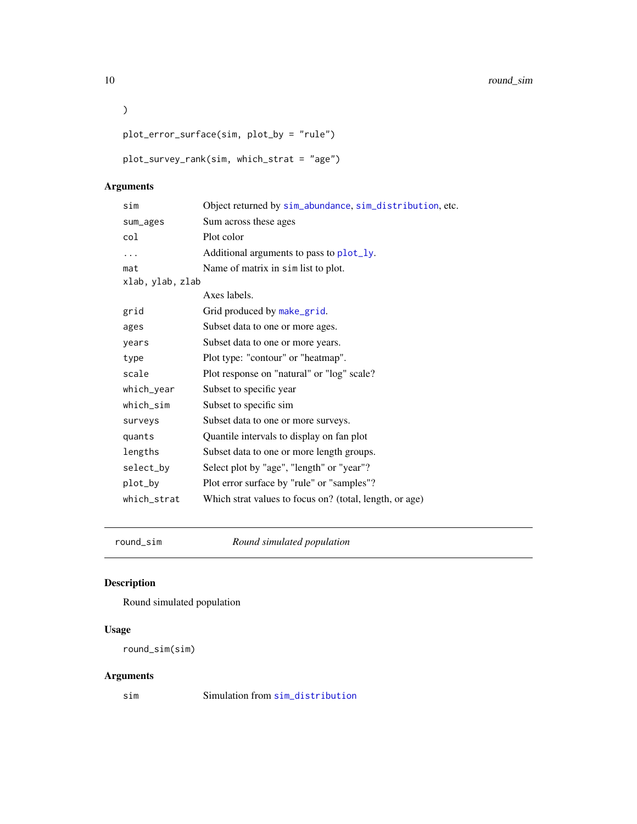<span id="page-9-0"></span>10 round\_sim

```
plot_error_surface(sim, plot_by = "rule")
```

```
plot_survey_rank(sim, which_strat = "age")
```
#### Arguments

 $\mathcal{L}$ 

| sim              | Object returned by sim_abundance, sim_distribution, etc. |
|------------------|----------------------------------------------------------|
| sum_ages         | Sum across these ages                                    |
| col              | Plot color                                               |
|                  | Additional arguments to pass to plot_ly.                 |
| mat              | Name of matrix in sim list to plot.                      |
| xlab, ylab, zlab |                                                          |
|                  | Axes labels.                                             |
| grid             | Grid produced by make_grid.                              |
| ages             | Subset data to one or more ages.                         |
| years            | Subset data to one or more years.                        |
| type             | Plot type: "contour" or "heatmap".                       |
| scale            | Plot response on "natural" or "log" scale?               |
| which_year       | Subset to specific year                                  |
| which_sim        | Subset to specific sim                                   |
| surveys          | Subset data to one or more surveys.                      |
| quants           | Quantile intervals to display on fan plot                |
| lengths          | Subset data to one or more length groups.                |
| select_by        | Select plot by "age", "length" or "year"?                |
| plot_by          | Plot error surface by "rule" or "samples"?               |
| which_strat      | Which strat values to focus on? (total, length, or age)  |
|                  |                                                          |

round\_sim *Round simulated population*

## Description

Round simulated population

#### Usage

round\_sim(sim)

#### Arguments

sim Simulation from [sim\\_distribution](#page-15-1)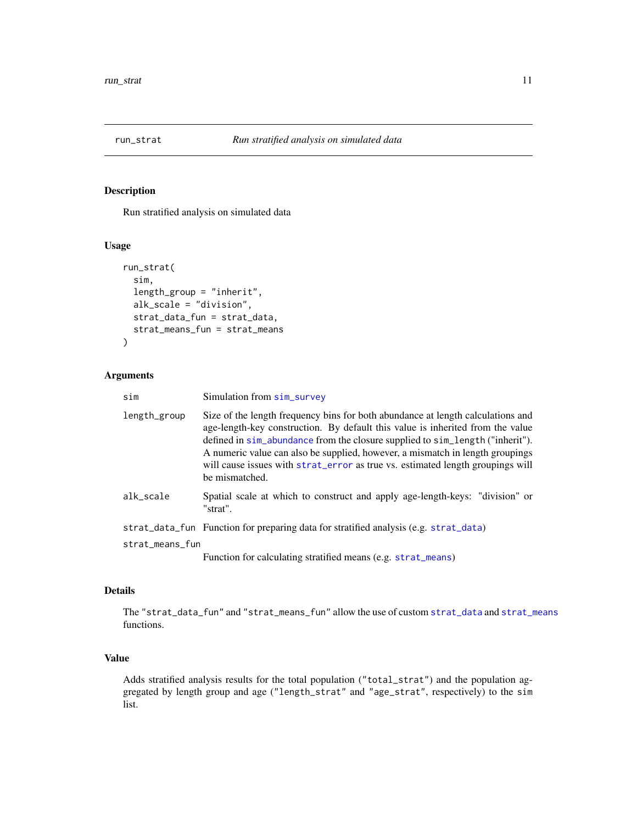<span id="page-10-1"></span><span id="page-10-0"></span>

Run stratified analysis on simulated data

#### Usage

```
run_strat(
  sim,
  length_group = "inherit",
 alk_scale = "division",
 strat_data_fun = strat_data,
  strat_means_fun = strat_means
)
```
#### Arguments

| sim             | Simulation from sim_survey                                                                                                                                                                                                                                                                                                                                                                                                              |
|-----------------|-----------------------------------------------------------------------------------------------------------------------------------------------------------------------------------------------------------------------------------------------------------------------------------------------------------------------------------------------------------------------------------------------------------------------------------------|
| length_group    | Size of the length frequency bins for both abundance at length calculations and<br>age-length-key construction. By default this value is inherited from the value<br>defined in sim_abundance from the closure supplied to sim_length ("inherit").<br>A numeric value can also be supplied, however, a mismatch in length groupings<br>will cause issues with strat_error as true vs. estimated length groupings will<br>be mismatched. |
| alk_scale       | Spatial scale at which to construct and apply age-length-keys: "division" or<br>"strat".                                                                                                                                                                                                                                                                                                                                                |
|                 | strat_data_fun Function for preparing data for stratified analysis (e.g. strat_data)                                                                                                                                                                                                                                                                                                                                                    |
| strat_means_fun |                                                                                                                                                                                                                                                                                                                                                                                                                                         |
|                 | Function for calculating stratified means (e.g. strat_means)                                                                                                                                                                                                                                                                                                                                                                            |

#### Details

The "strat\_data\_fun" and "strat\_means\_fun" allow the use of custom [strat\\_data](#page-25-2) and [strat\\_means](#page-26-1) functions.

#### Value

Adds stratified analysis results for the total population ("total\_strat") and the population aggregated by length group and age ("length\_strat" and "age\_strat", respectively) to the sim list.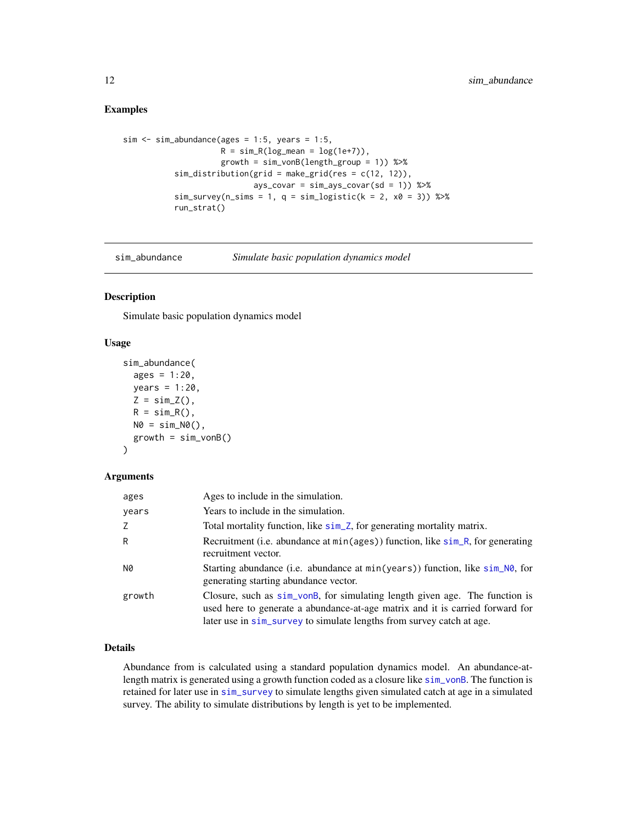#### <span id="page-11-0"></span>Examples

```
sim \le sim_abundance(ages = 1:5, years = 1:5,
                     R = sim_R(log_mean = log(1e+7)),growth = sim\_vonB(length\_group = 1)) %>%
           sim\_distribution(grid = make\_grid(res = c(12, 12)),ays_{covar} = sim_{ays_{covar}(sd = 1)) %>%
           sim\_survey(n\_sims = 1, q = sim\_logistic(k = 2, x0 = 3)) %>%
           run_strat()
```
<span id="page-11-1"></span>

sim\_abundance *Simulate basic population dynamics model*

#### Description

Simulate basic population dynamics model

#### Usage

```
sim_abundance(
  ages = 1:20,years = 1:20,
  Z = \text{sim\_Z}(),
  R = sim_R(),
  N0 = \sin N0(),
  growth = sim_vonB())
```
#### Arguments

| ages   | Ages to include in the simulation.                                                                                                                                                                                                    |
|--------|---------------------------------------------------------------------------------------------------------------------------------------------------------------------------------------------------------------------------------------|
| years  | Years to include in the simulation.                                                                                                                                                                                                   |
| Z      | Total mortality function, like sim_Z, for generating mortality matrix.                                                                                                                                                                |
| R      | Recruitment (i.e. abundance at min(ages)) function, like sim_R, for generating<br>recruitment vector.                                                                                                                                 |
| N0     | Starting abundance (i.e. abundance at $min(years)$ ) function, like $sim\,N\theta$ , for<br>generating starting abundance vector.                                                                                                     |
| growth | Closure, such as sim_vonB, for simulating length given age. The function is<br>used here to generate a abundance-at-age matrix and it is carried forward for<br>later use in sim_survey to simulate lengths from survey catch at age. |

#### Details

Abundance from is calculated using a standard population dynamics model. An abundance-atlength matrix is generated using a growth function coded as a closure like [sim\\_vonB](#page-24-1). The function is retained for later use in [sim\\_survey](#page-20-1) to simulate lengths given simulated catch at age in a simulated survey. The ability to simulate distributions by length is yet to be implemented.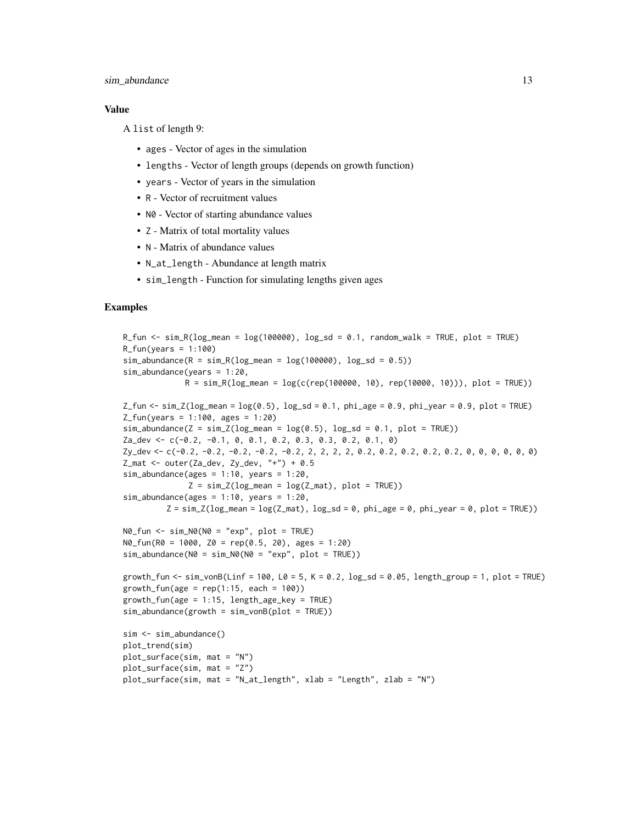#### sim\_abundance 13

#### Value

A list of length 9:

- ages Vector of ages in the simulation
- lengths Vector of length groups (depends on growth function)
- years Vector of years in the simulation
- R Vector of recruitment values
- N0 Vector of starting abundance values
- Z Matrix of total mortality values
- N Matrix of abundance values
- N\_at\_length Abundance at length matrix
- sim\_length Function for simulating lengths given ages

#### Examples

```
R_fun <- sim_R(log_mean = log(100000), log_sd = 0.1, random_walk = TRUE, plot = TRUE)
R_fun(years = 1:100)sim\_abundance(R = sim_R(log\_mean = log(100000), log_s d = 0.5))sim_abundance(years = 1:20,
               R = sim_R(log_mean = log(c(rep(100000, 10), rep(10000, 10))), plot = TRUE))
Z_fun <- \sin Z(\log_{10} nean = \log(0.5), \log_{10} d = 0.1, phi_age = 0.9, phi_year = 0.9, plot = TRUE)
Z_fun(years = 1:100, ages = 1:20)sim\_abundance(Z = sim\_Z(log\_mean = log(0.5), log\_sd = 0.1, plot = TRUE))Za_dev <- c(-0.2, -0.1, 0, 0.1, 0.2, 0.3, 0.3, 0.2, 0.1, 0)
Zy_dev <- c(-0.2, -0.2, -0.2, -0.2, -0.2, 2, 2, 2, 2, 0.2, 0.2, 0.2, 0.2, 0.2, 0, 0, 0, 0, 0, 0)
Z_mat <- outer(Za_dev, Zy_dev, "+") + 0.5
sim\_abundance(ages = 1:10, years = 1:20,Z = \text{sim}_Z(\text{log\_mean} = \text{log}(Z\text{\_mat}), \text{plot} = \text{TRUE}))sim\_abundance(ages = 1:10, years = 1:20,Z = \text{sim}_Z(\text{log\_mean} = \text{log}(Z\_\text{mat}), \text{log}_S = 0, \text{phi}_S = 0, \text{phi}_S = 0, \text{plot} = \text{TRUE})N0_fun <- sim_N0(N0 = "exp", plot = TRUE)
N\theta_{r}fun(R\theta = 1000, Z\theta = rep(0.5, 20), ages = 1:20)
sim\_abundance(N0 = sim_N0(N0 = "exp", plot = TRUE))growth_fun <- sim_vonB(Linf = 100, L0 = 5, K = 0.2, \log_{10} = 0.05, length_group = 1, plot = TRUE)
growth_fun(age = rep(1:15, each = 100))
growth_fun(age = 1:15, length_age_key = TRUE)
sim_abundance(growth = sim_vonB(plot = TRUE))
sim <- sim_abundance()
plot_trend(sim)
plot_surface(sim, mat = "N")
plot_surface(sim, mat = "Z")
plot_surface(sim, mat = "N_at_length", xlab = "Length", zlab = "N")
```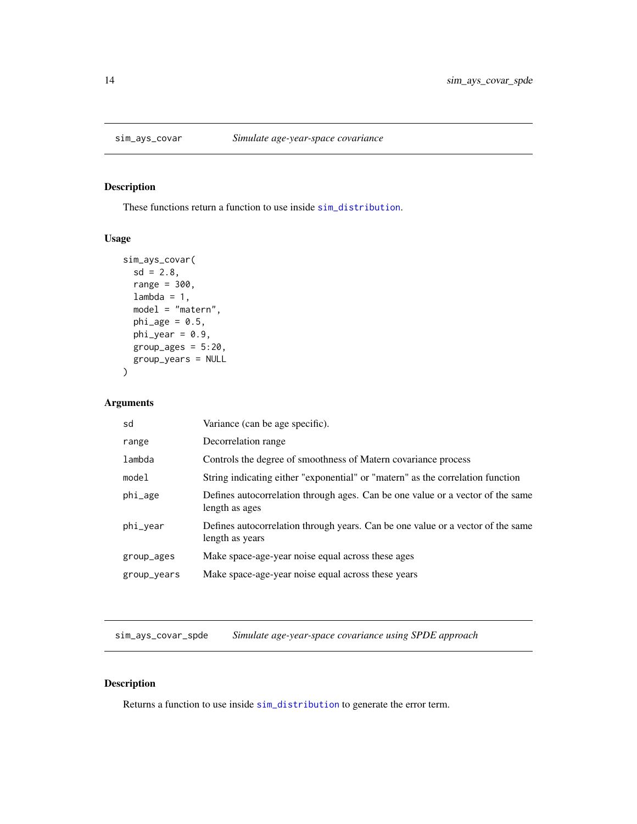<span id="page-13-1"></span><span id="page-13-0"></span>

These functions return a function to use inside [sim\\_distribution](#page-15-1).

#### Usage

```
sim_ays_covar(
  sd = 2.8,
  range = 300,
  lambda = 1,
  model = "matern",
  phi\_age = 0.5,
  phi_year = 0.9,
  group\_ages = 5:20,group_years = NULL
\mathcal{L}
```
#### Arguments

| sd          | Variance (can be age specific).                                                                    |
|-------------|----------------------------------------------------------------------------------------------------|
| range       | Decorrelation range                                                                                |
| lambda      | Controls the degree of smoothness of Matern covariance process                                     |
| model       | String indicating either "exponential" or "matern" as the correlation function                     |
| phi_age     | Defines autocorrelation through ages. Can be one value or a vector of the same<br>length as ages   |
| phi_year    | Defines autocorrelation through years. Can be one value or a vector of the same<br>length as years |
| group_ages  | Make space-age-year noise equal across these ages                                                  |
| group_years | Make space-age-year noise equal across these years                                                 |

sim\_ays\_covar\_spde *Simulate age-year-space covariance using SPDE approach*

#### Description

Returns a function to use inside [sim\\_distribution](#page-15-1) to generate the error term.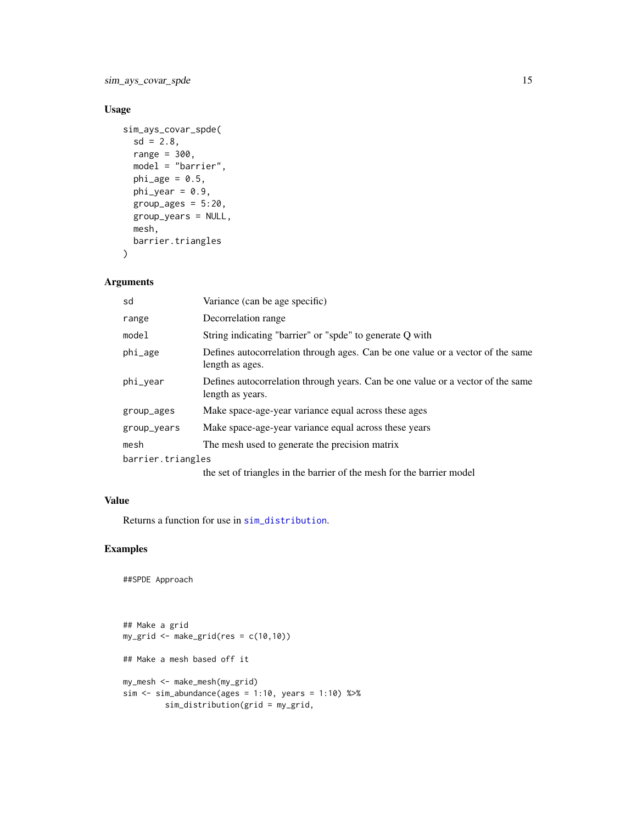<span id="page-14-0"></span>sim\_ays\_covar\_spde 15

#### Usage

```
sim_ays_covar_spde(
  sd = 2.8,
  range = 300,
 model = "barrier",
 phi\_age = 0.5,
 phi_year = 0.9,
  group_ages = 5:20,
  group_years = NULL,
 mesh,
 barrier.triangles
)
```
#### Arguments

| sd                | Variance (can be age specific)                                                                      |
|-------------------|-----------------------------------------------------------------------------------------------------|
| range             | Decorrelation range                                                                                 |
| model             | String indicating "barrier" or "spde" to generate Q with                                            |
| phi_age           | Defines autocorrelation through ages. Can be one value or a vector of the same<br>length as ages.   |
| phi_year          | Defines autocorrelation through years. Can be one value or a vector of the same<br>length as years. |
| group_ages        | Make space-age-year variance equal across these ages                                                |
| group_years       | Make space-age-year variance equal across these years                                               |
| mesh              | The mesh used to generate the precision matrix                                                      |
| barrier.triangles |                                                                                                     |
|                   | the set of triangles in the barrier of the mesh for the barrier model                               |

#### Value

Returns a function for use in [sim\\_distribution](#page-15-1).

#### Examples

##SPDE Approach

```
## Make a grid
my\_grid \leq - make\_grid(res = c(10,10))## Make a mesh based off it
my_mesh <- make_mesh(my_grid)
sim < -sim\_abundance(ages = 1:10, years = 1:10) %>%
         sim_distribution(grid = my_grid,
```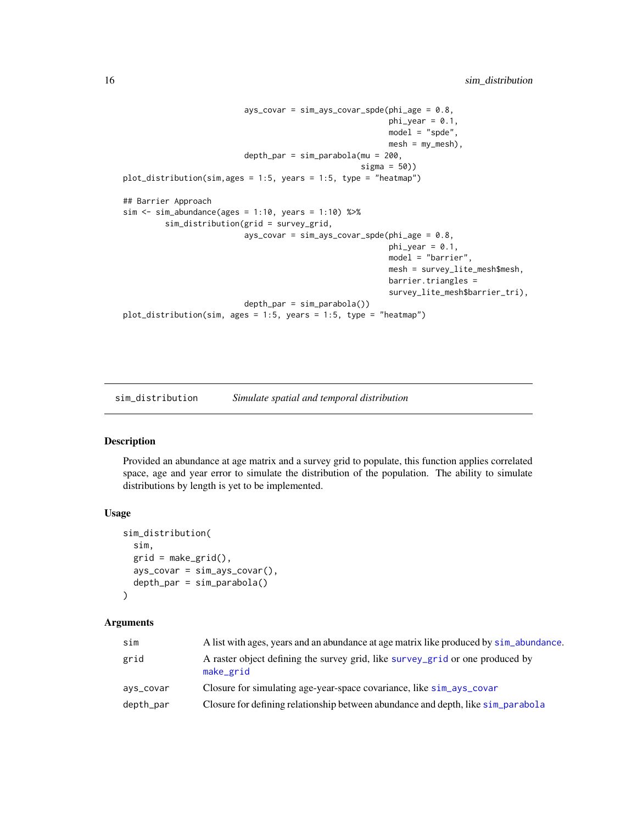```
ays_{covar} = \nsim_{ays_{covar} - spde(phi_{age} = 0.8,phi\_year = 0.1,
                                                          model = "spde",
                                                          mesh = my\_mesh,
                          depth_par = sim_parabola(mu = 200,
                                                    sigma = 50))
plot_distribution(sim,ages = 1:5, years = 1:5, type = "heatmap")
## Barrier Approach
sim \le sim_abundance(ages = 1:10, years = 1:10) %>%
         sim_distribution(grid = survey_grid,
                          ays_covar = sim_ays_covar_spde(phi_age = 0.8,
                                                          phi_y = 0.1,
                                                          model = "barrier",mesh = survey_lite_mesh$mesh,
                                                          barrier.triangles =
                                                          survey_lite_mesh$barrier_tri),
                          depth_par = sim_parabola())
plot_distribution(sim, ages = 1:5, years = 1:5, type = "heatmap")
```
<span id="page-15-1"></span>sim\_distribution *Simulate spatial and temporal distribution*

#### Description

Provided an abundance at age matrix and a survey grid to populate, this function applies correlated space, age and year error to simulate the distribution of the population. The ability to simulate distributions by length is yet to be implemented.

#### Usage

```
sim_distribution(
  sim,
  grid = make\_grid(),
  ays_{covar} = \nsim_ays_{covar} ),
  depth_par = sim_parabola()
)
```
#### **Arguments**

| sim       | A list with ages, years and an abundance at age matrix like produced by sim_abundance.     |
|-----------|--------------------------------------------------------------------------------------------|
| grid      | A raster object defining the survey grid, like survey_grid or one produced by<br>make_grid |
| ays_covar | Closure for simulating age-year-space covariance, like sim_ays_covar                       |
| depth_par | Closure for defining relationship between abundance and depth, like $\sin_\theta$ parabola |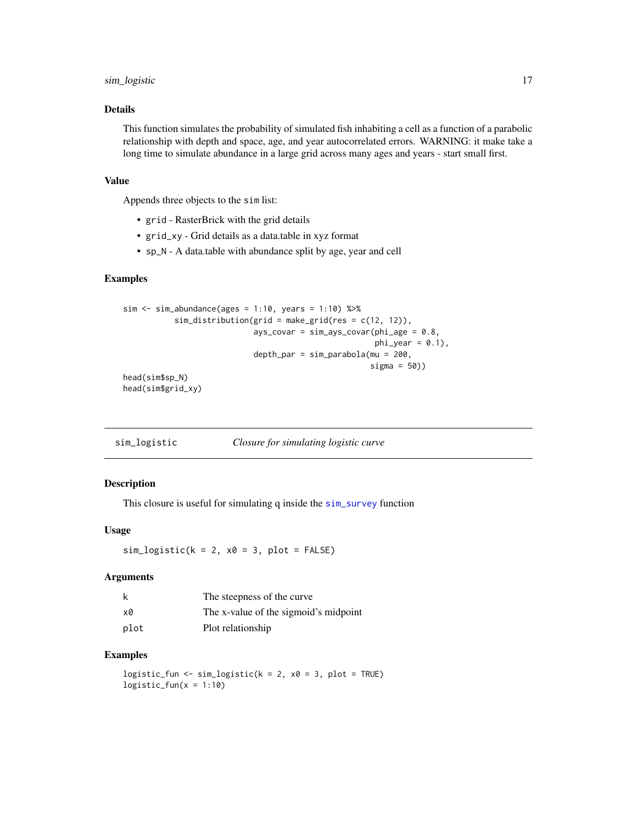#### <span id="page-16-0"></span>sim\_logistic 17

#### Details

This function simulates the probability of simulated fish inhabiting a cell as a function of a parabolic relationship with depth and space, age, and year autocorrelated errors. WARNING: it make take a long time to simulate abundance in a large grid across many ages and years - start small first.

#### Value

Appends three objects to the sim list:

- grid RasterBrick with the grid details
- grid\_xy Grid details as a data.table in xyz format
- sp\_N A data.table with abundance split by age, year and cell

#### Examples

```
sim <- sim_abundance(ages = 1:10, years = 1:10) %>%
           sim_distribution(grid = make_grid(res = c(12, 12)),
                            ays_{covar} = sim_{ays_{covar}(phi_{1,age} = 0.8,phi_y = 0.1,
                             depth\_par = sim\_parabola(mu = 200,sigma = 50))
head(sim$sp_N)
```
head(sim\$grid\_xy)

<span id="page-16-1"></span>sim\_logistic *Closure for simulating logistic curve*

#### Description

This closure is useful for simulating q inside the [sim\\_survey](#page-20-1) function

#### Usage

 $sim\_logistic(k = 2, x0 = 3, plot = FALSE)$ 

#### Arguments

|      | The steepness of the curve            |
|------|---------------------------------------|
| x0   | The x-value of the sigmoid's midpoint |
| plot | Plot relationship                     |

#### Examples

logistic\_fun <- sim\_logistic( $k = 2$ ,  $x0 = 3$ , plot = TRUE)  $logistic_fun(x = 1:10)$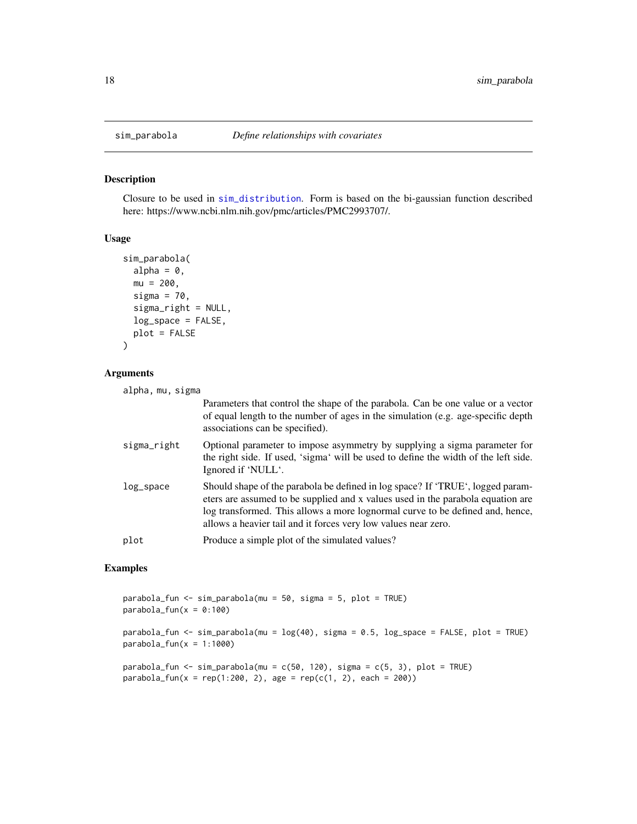Closure to be used in [sim\\_distribution](#page-15-1). Form is based on the bi-gaussian function described here: https://www.ncbi.nlm.nih.gov/pmc/articles/PMC2993707/.

#### Usage

```
sim_parabola(
  alpha = 0,
 mu = 200,
  sigma = 70,
  sigma_right = NULL,
  log_space = FALSE,
 plot = FALSE
)
```
#### Arguments

```
alpha, mu, sigma
```

|             | Parameters that control the shape of the parabola. Can be one value or a vector<br>of equal length to the number of ages in the simulation (e.g. age-specific depth<br>associations can be specified).                                                                                                               |
|-------------|----------------------------------------------------------------------------------------------------------------------------------------------------------------------------------------------------------------------------------------------------------------------------------------------------------------------|
| sigma_right | Optional parameter to impose asymmetry by supplying a sigma parameter for<br>the right side. If used, 'sigma' will be used to define the width of the left side.<br>Ignored if 'NULL'.                                                                                                                               |
| log_space   | Should shape of the parabola be defined in log space? If 'TRUE', logged param-<br>eters are assumed to be supplied and x values used in the parabola equation are<br>log transformed. This allows a more lognormal curve to be defined and, hence,<br>allows a heavier tail and it forces very low values near zero. |
| plot        | Produce a simple plot of the simulated values?                                                                                                                                                                                                                                                                       |

#### Examples

parabola\_fun <- sim\_parabola(mu = 50, sigma = 5, plot = TRUE)  $parabola_fun(x = 0:100)$ 

parabola\_fun <- sim\_parabola(mu = log(40), sigma = 0.5, log\_space = FALSE, plot = TRUE)  $parabola_fun(x = 1:1000)$ 

parabola\_fun <- sim\_parabola(mu =  $c(50, 120)$ , sigma =  $c(5, 3)$ , plot = TRUE)  $parabola_fun(x = rep(1:200, 2), age = rep(c(1, 2), each = 200))$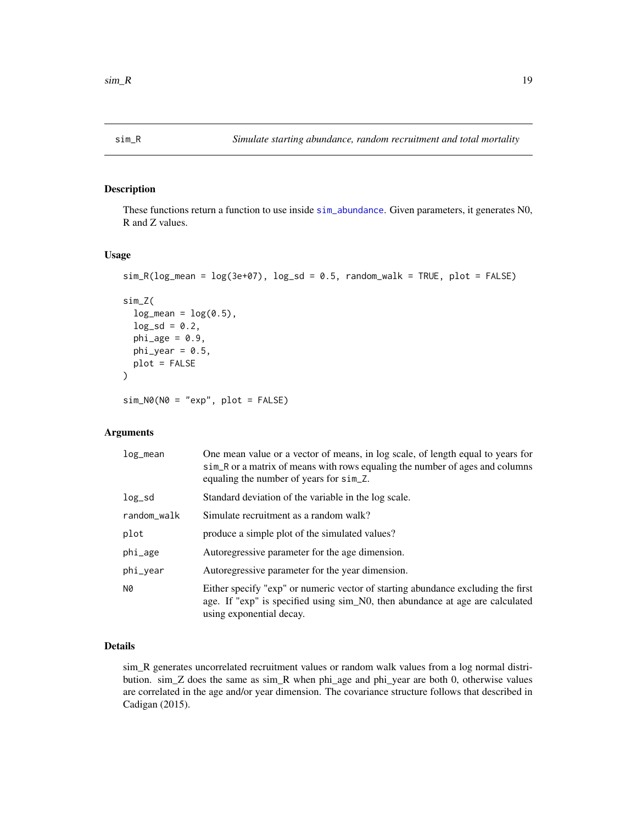<span id="page-18-2"></span><span id="page-18-1"></span><span id="page-18-0"></span>

These functions return a function to use inside [sim\\_abundance](#page-11-1). Given parameters, it generates N0, R and Z values.

#### Usage

```
sim_R(log_mean = log(3e+07), log_s d = 0.5, random_w alk = TRUE, plot = FALSE)sim_Z(
  log_mean = log(0.5),
  log_s d = 0.2,
 phi\_age = 0.9,
 phi_year = 0.5,
 plot = FALSE
)
sim_N0(N0 = "exp", plot = FALSE)
```
#### Arguments

| log_mean    | One mean value or a vector of means, in log scale, of length equal to years for<br>sim_R or a matrix of means with rows equaling the number of ages and columns<br>equaling the number of years for sim_Z. |
|-------------|------------------------------------------------------------------------------------------------------------------------------------------------------------------------------------------------------------|
| $log_s$ d   | Standard deviation of the variable in the log scale.                                                                                                                                                       |
| random_walk | Simulate recruitment as a random walk?                                                                                                                                                                     |
| plot        | produce a simple plot of the simulated values?                                                                                                                                                             |
| phi_age     | Autoregressive parameter for the age dimension.                                                                                                                                                            |
| phi_year    | Autoregressive parameter for the year dimension.                                                                                                                                                           |
| N0          | Either specify "exp" or numeric vector of starting abundance excluding the first<br>age. If "exp" is specified using sim_N0, then abundance at age are calculated<br>using exponential decay.              |

#### Details

sim\_R generates uncorrelated recruitment values or random walk values from a log normal distribution. sim\_Z does the same as sim\_R when phi\_age and phi\_year are both 0, otherwise values are correlated in the age and/or year dimension. The covariance structure follows that described in Cadigan (2015).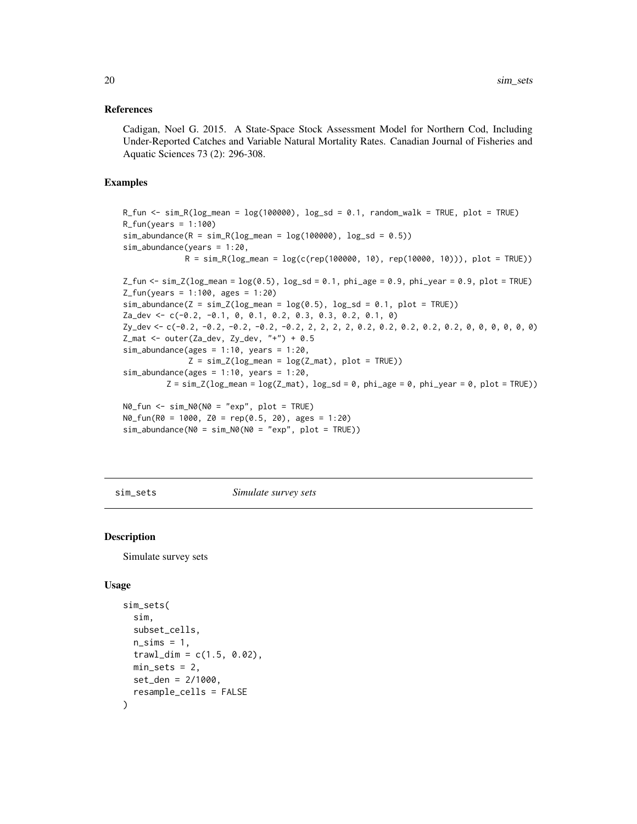#### <span id="page-19-0"></span>References

Cadigan, Noel G. 2015. A State-Space Stock Assessment Model for Northern Cod, Including Under-Reported Catches and Variable Natural Mortality Rates. Canadian Journal of Fisheries and Aquatic Sciences 73 (2): 296-308.

#### Examples

```
R_fun \le sim_R(log_mean = \log(100000), \log_{10} = 0.1, random_walk = TRUE, plot = TRUE)
R_fun(years = 1:100)sim\_abundance(R = sim\_R(log\_mean = log(100000), log\_sd = 0.5))sim_abundance(years = 1:20,
                R = \text{sim}_R(\text{log\_mean} = \text{log}(c(\text{rep}(100000, 10), \text{rep}(10000, 10))), plot = TRUE))
Z_fun <- \sin Z(\log_m e) = \log(0.5), \log_S d = 0.1, \phihi_age = 0.9, \phihi_year = 0.9, \philot = TRUE)
Z_fun(years = 1:100, ages = 1:20)sim\_abundance(Z = sim\_Z(log\_mean = log(0.5), log\_sd = 0.1, plot = TRUE))Za_dev <- c(-0.2, -0.1, 0, 0.1, 0.2, 0.3, 0.3, 0.2, 0.1, 0)
Zy_dev <- c(-0.2, -0.2, -0.2, -0.2, -0.2, 2, 2, 2, 2, 0.2, 0.2, 0.2, 0.2, 0.2, 0, 0, 0, 0, 0, 0)
Z_mat <- outer(Za_dev, Zy_dev, "+") + 0.5
sim\_abundance(ages = 1:10, years = 1:20,Z = \sin Z(\log_{10} \text{mean} = \log(Z_{\text{mat}}), \text{plot} = \text{TRUE})sim\_abundance(ages = 1:10, years = 1:20,Z = \text{sim\_Z}(\text{log\_mean} = \text{log}(Z_{\text{mat}}), \text{log\_sd} = \emptyset, \text{phi\_age} = \emptyset, \text{phi\_year} = \emptyset, \text{plot} = \text{TRUE})N0_fun <- sim_N0(N0 = "exp", plot = TRUE)
N0_fun(R0 = 1000, Z0 = rep(0.5, 20), ages = 1:20)
sim\_abundance(N0 = sim_N0(N0 = "exp", plot = TRUE))
```
<span id="page-19-1"></span>sim\_sets *Simulate survey sets*

#### Description

Simulate survey sets

#### Usage

```
sim_sets(
  sim,
  subset_cells,
  n_sims = 1,
  traw1\_dim = c(1.5, 0.02),
 min\_sets = 2,
 set_den = 2/1000,
  resample_cells = FALSE
)
```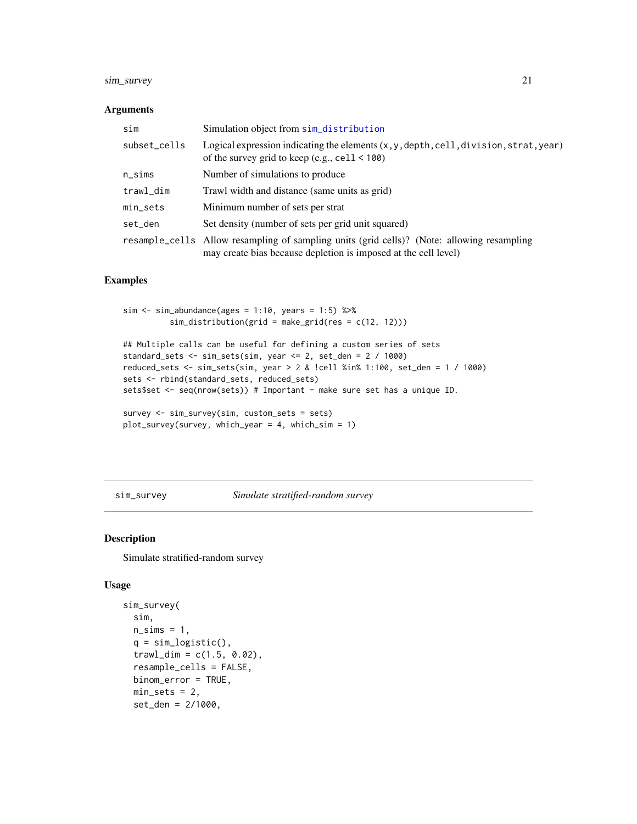#### <span id="page-20-0"></span>sim\_survey 21

#### Arguments

| sim          | Simulation object from sim_distribution                                                                                                                                               |
|--------------|---------------------------------------------------------------------------------------------------------------------------------------------------------------------------------------|
| subset_cells | Logical expression indicating the elements $(x, y, \text{depth}, \text{cell}, \text{division}, \text{strat}, \text{year})$<br>of the survey grid to keep (e.g., $\text{cell} < 100$ ) |
| n_sims       | Number of simulations to produce                                                                                                                                                      |
| trawl_dim    | Trawl width and distance (same units as grid)                                                                                                                                         |
| min_sets     | Minimum number of sets per strat                                                                                                                                                      |
| set den      | Set density (number of sets per grid unit squared)                                                                                                                                    |
|              | resample_cells Allow resampling of sampling units (grid cells)? (Note: allowing resampling<br>may create bias because depletion is imposed at the cell level)                         |

#### Examples

```
sim \le sim_abundance(ages = 1:10, years = 1:5) %>%
          sim_distribution(grid = make_grid(res = c(12, 12)))
```

```
## Multiple calls can be useful for defining a custom series of sets
standard_sets <- sim_sets(sim, year <= 2, set_den = 2 / 1000)
reduced_sets <- sim_sets(sim, year > 2 & !cell %in% 1:100, set_den = 1 / 1000)
sets <- rbind(standard_sets, reduced_sets)
sets$set <- seq(nrow(sets)) # Important - make sure set has a unique ID.
```

```
survey <- sim_survey(sim, custom_sets = sets)
plot_survey(survey, which_year = 4, which_sim = 1)
```
<span id="page-20-1"></span>sim\_survey *Simulate stratified-random survey*

#### Description

Simulate stratified-random survey

#### Usage

```
sim_survey(
  sim,
  n\_sims = 1,q = \text{sim\_logistic}(),
  traw1\_dim = c(1.5, 0.02),
  resample_cells = FALSE,
 binom_error = TRUE,
  min\_sets = 2,set_den = 2/1000,
```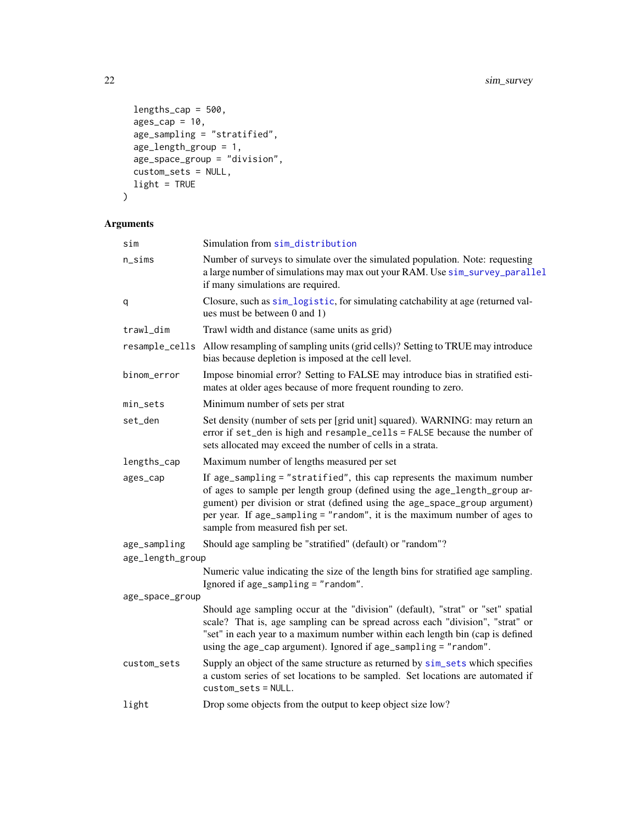```
lengths_{cap} = 500,ages\_cap = 10,age\_sampling = "stratified",age_length\_group = 1,age_space_group = "division",
  custom_sets = NULL,
 light = TRUE
\mathcal{L}
```
## Arguments

| sim              | Simulation from sim_distribution                                                                                                                                                                                                                                                                                                                      |  |
|------------------|-------------------------------------------------------------------------------------------------------------------------------------------------------------------------------------------------------------------------------------------------------------------------------------------------------------------------------------------------------|--|
| $n$ _sims        | Number of surveys to simulate over the simulated population. Note: requesting<br>a large number of simulations may max out your RAM. Use sim_survey_parallel<br>if many simulations are required.                                                                                                                                                     |  |
| q                | Closure, such as sim_logistic, for simulating catchability at age (returned val-<br>ues must be between 0 and 1)                                                                                                                                                                                                                                      |  |
| trawl_dim        | Trawl width and distance (same units as grid)                                                                                                                                                                                                                                                                                                         |  |
|                  | resample_cells Allow resampling of sampling units (grid cells)? Setting to TRUE may introduce<br>bias because depletion is imposed at the cell level.                                                                                                                                                                                                 |  |
| binom_error      | Impose binomial error? Setting to FALSE may introduce bias in stratified esti-<br>mates at older ages because of more frequent rounding to zero.                                                                                                                                                                                                      |  |
| min_sets         | Minimum number of sets per strat                                                                                                                                                                                                                                                                                                                      |  |
| set_den          | Set density (number of sets per [grid unit] squared). WARNING: may return an<br>error if set_den is high and resample_cells = FALSE because the number of<br>sets allocated may exceed the number of cells in a strata.                                                                                                                               |  |
| lengths_cap      | Maximum number of lengths measured per set                                                                                                                                                                                                                                                                                                            |  |
| ages_cap         | If age_sampling = "stratified", this cap represents the maximum number<br>of ages to sample per length group (defined using the age_length_group ar-<br>gument) per division or strat (defined using the age_space_group argument)<br>per year. If age_sampling = "random", it is the maximum number of ages to<br>sample from measured fish per set. |  |
| age_sampling     | Should age sampling be "stratified" (default) or "random"?                                                                                                                                                                                                                                                                                            |  |
| age_length_group |                                                                                                                                                                                                                                                                                                                                                       |  |
|                  | Numeric value indicating the size of the length bins for stratified age sampling.<br>Ignored if age_sampling = "random".                                                                                                                                                                                                                              |  |
| age_space_group  |                                                                                                                                                                                                                                                                                                                                                       |  |
|                  | Should age sampling occur at the "division" (default), "strat" or "set" spatial<br>scale? That is, age sampling can be spread across each "division", "strat" or<br>"set" in each year to a maximum number within each length bin (cap is defined<br>using the age_cap argument). Ignored if age_sampling = "random".                                 |  |
| custom_sets      | Supply an object of the same structure as returned by sim_sets which specifies<br>a custom series of set locations to be sampled. Set locations are automated if<br>$cuts$ tom $sets$ = NULL.                                                                                                                                                         |  |
| light            | Drop some objects from the output to keep object size low?                                                                                                                                                                                                                                                                                            |  |
|                  |                                                                                                                                                                                                                                                                                                                                                       |  |

<span id="page-21-0"></span>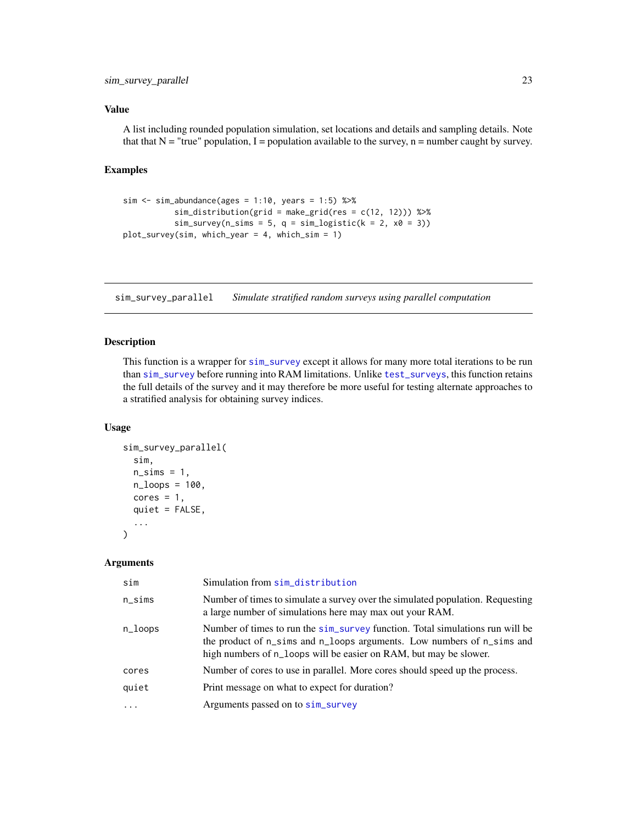#### <span id="page-22-0"></span>Value

A list including rounded population simulation, set locations and details and sampling details. Note that that  $N = "true"$  population, I = population available to the survey, n = number caught by survey.

#### Examples

```
sim \le sim_abundance(ages = 1:10, years = 1:5) %>%
           sim\_distribution(grid = make\_grid(res = c(12, 12))) %>%
           sim\_survey(n\_sims = 5, q = sim\_logistic(k = 2, x0 = 3))plot_survey(sim, which_year = 4, which_sim = 1)
```
<span id="page-22-1"></span>sim\_survey\_parallel *Simulate stratified random surveys using parallel computation*

#### Description

This function is a wrapper for [sim\\_survey](#page-20-1) except it allows for many more total iterations to be run than [sim\\_survey](#page-20-1) before running into RAM limitations. Unlike [test\\_surveys](#page-28-1), this function retains the full details of the survey and it may therefore be more useful for testing alternate approaches to a stratified analysis for obtaining survey indices.

#### Usage

```
sim_survey_parallel(
  sim,
  n\_sims = 1,
  n_loops = 100,
  cores = 1,quiet = FALSE,
  ...
)
```
#### Arguments

| sim                     | Simulation from sim_distribution                                                                                                                                                                                             |
|-------------------------|------------------------------------------------------------------------------------------------------------------------------------------------------------------------------------------------------------------------------|
| $n\_sims$               | Number of times to simulate a survey over the simulated population. Requesting<br>a large number of simulations here may max out your RAM.                                                                                   |
| n_loops                 | Number of times to run the sim_survey function. Total simulations run will be<br>the product of n_sims and n_loops arguments. Low numbers of n_sims and<br>high numbers of n_loops will be easier on RAM, but may be slower. |
| cores                   | Number of cores to use in parallel. More cores should speed up the process.                                                                                                                                                  |
| quiet                   | Print message on what to expect for duration?                                                                                                                                                                                |
| $\cdot$ $\cdot$ $\cdot$ | Arguments passed on to sim_survey                                                                                                                                                                                            |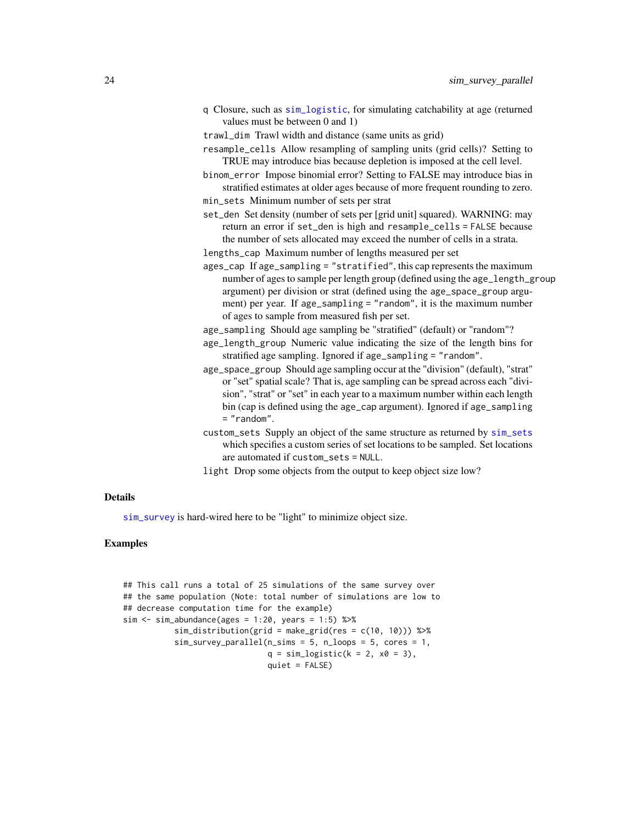- <span id="page-23-0"></span>q Closure, such as [sim\\_logistic](#page-16-1), for simulating catchability at age (returned values must be between 0 and 1)
- trawl\_dim Trawl width and distance (same units as grid)
- resample\_cells Allow resampling of sampling units (grid cells)? Setting to TRUE may introduce bias because depletion is imposed at the cell level.
- binom\_error Impose binomial error? Setting to FALSE may introduce bias in stratified estimates at older ages because of more frequent rounding to zero.
- min\_sets Minimum number of sets per strat
- set\_den Set density (number of sets per [grid unit] squared). WARNING: may return an error if set\_den is high and resample\_cells = FALSE because the number of sets allocated may exceed the number of cells in a strata.
- lengths\_cap Maximum number of lengths measured per set
- ages\_cap If age\_sampling = "stratified", this cap represents the maximum number of ages to sample per length group (defined using the age\_length\_group argument) per division or strat (defined using the age\_space\_group argument) per year. If age\_sampling = "random", it is the maximum number of ages to sample from measured fish per set.
- age\_sampling Should age sampling be "stratified" (default) or "random"?
- age\_length\_group Numeric value indicating the size of the length bins for stratified age sampling. Ignored if age\_sampling = "random".
- age\_space\_group Should age sampling occur at the "division" (default), "strat" or "set" spatial scale? That is, age sampling can be spread across each "division", "strat" or "set" in each year to a maximum number within each length bin (cap is defined using the age\_cap argument). Ignored if age\_sampling = "random".
- custom\_sets Supply an object of the same structure as returned by [sim\\_sets](#page-19-1) which specifies a custom series of set locations to be sampled. Set locations are automated if custom\_sets = NULL.

light Drop some objects from the output to keep object size low?

#### Details

[sim\\_survey](#page-20-1) is hard-wired here to be "light" to minimize object size.

#### Examples

```
## This call runs a total of 25 simulations of the same survey over
## the same population (Note: total number of simulations are low to
## decrease computation time for the example)
sim < -sim\_abundance(ages = 1:20, years = 1:5) %>%
           sim\_distribution(grid = make\_grid(res = c(10, 10))) %>%
           sim\_survey\_parallel(n\_sims = 5, n\_loops = 5, cores = 1,q = sim\_logistic(k = 2, x0 = 3),
                               quiet = FALSE)
```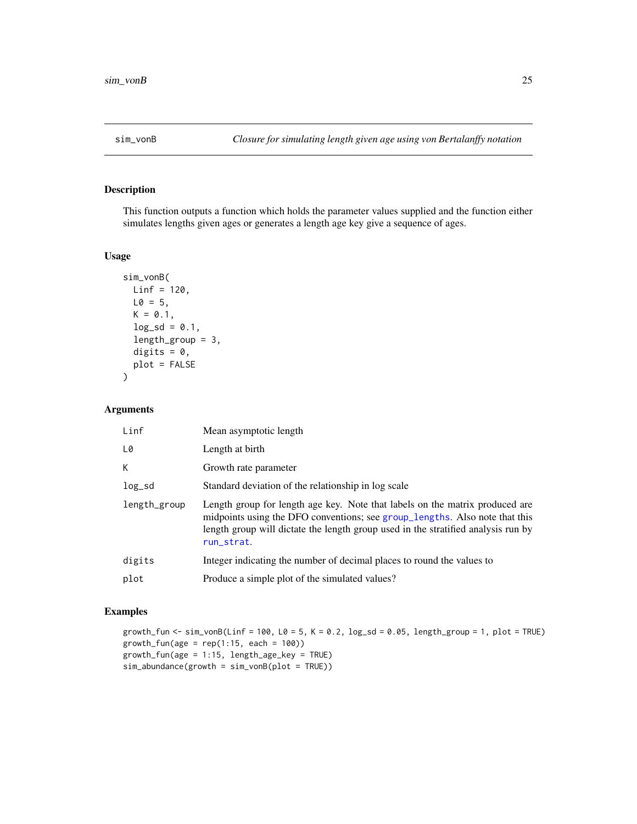<span id="page-24-1"></span><span id="page-24-0"></span>

This function outputs a function which holds the parameter values supplied and the function either simulates lengths given ages or generates a length age key give a sequence of ages.

#### Usage

```
sim_vonB(
 Linf = 120,
 L0 = 5,
 K = 0.1,
 log_s d = 0.1,
  length_group = 3,
 digits = 0,
 plot = FALSE
)
```
#### Arguments

| Linf         | Mean asymptotic length                                                                                                                                                                                                                                         |
|--------------|----------------------------------------------------------------------------------------------------------------------------------------------------------------------------------------------------------------------------------------------------------------|
| L0           | Length at birth                                                                                                                                                                                                                                                |
| K.           | Growth rate parameter                                                                                                                                                                                                                                          |
| $log_s$      | Standard deviation of the relationship in log scale                                                                                                                                                                                                            |
| length_group | Length group for length age key. Note that labels on the matrix produced are<br>midpoints using the DFO conventions; see group_lengths. Also note that this<br>length group will dictate the length group used in the stratified analysis run by<br>run_strat. |
| digits       | Integer indicating the number of decimal places to round the values to                                                                                                                                                                                         |
| plot         | Produce a simple plot of the simulated values?                                                                                                                                                                                                                 |

#### Examples

```
growth_fun <- sim_vonB(Linf = 100, L0 = 5, K = 0.2, log_s d = 0.05, length_sgroup = 1, plot = TRUE)
growth_fun(age = rep(1:15, each = 100))growth_fun(age = 1:15, length_age_key = TRUE)
sim_abundance(growth = sim_vonB(plot = TRUE))
```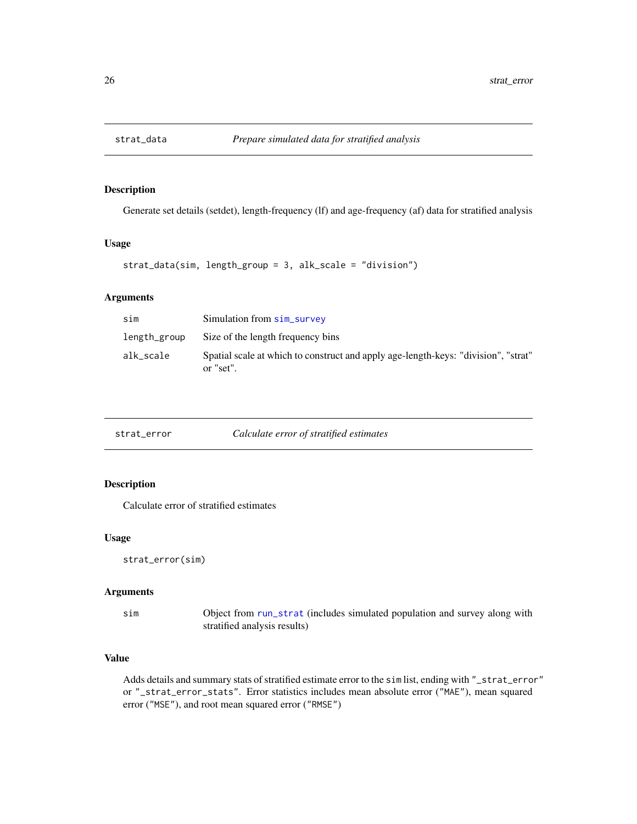<span id="page-25-2"></span><span id="page-25-0"></span>

Generate set details (setdet), length-frequency (lf) and age-frequency (af) data for stratified analysis

#### Usage

```
strat_data(sim, length_group = 3, alk_scale = "division")
```
#### Arguments

| sim          | Simulation from sim_survey                                                                      |
|--------------|-------------------------------------------------------------------------------------------------|
| length_group | Size of the length frequency bins                                                               |
| alk_scale    | Spatial scale at which to construct and apply age-length-keys: "division", "strat"<br>or "set". |

<span id="page-25-1"></span>

| strat_error |  | Calculate error of stratified estimates |
|-------------|--|-----------------------------------------|
|-------------|--|-----------------------------------------|

#### Description

Calculate error of stratified estimates

#### Usage

```
strat_error(sim)
```
#### Arguments

sim Object from [run\\_strat](#page-10-1) (includes simulated population and survey along with stratified analysis results)

#### Value

Adds details and summary stats of stratified estimate error to the sim list, ending with "\_strat\_error" or "\_strat\_error\_stats". Error statistics includes mean absolute error ("MAE"), mean squared error ("MSE"), and root mean squared error ("RMSE")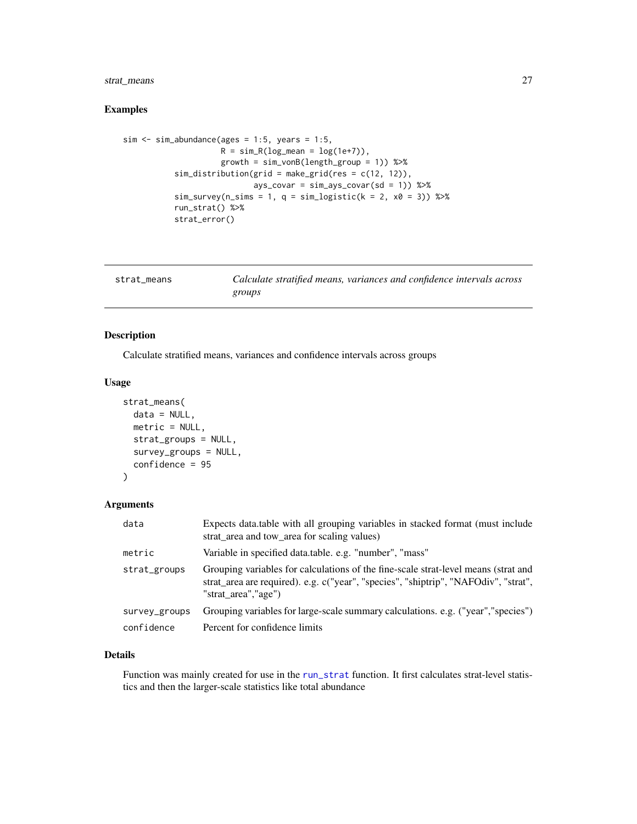#### <span id="page-26-0"></span>strat\_means 27

#### Examples

```
sim < -sim\_abundance(ages = 1:5, years = 1:5,R = \text{sim\_R}(\text{log\_mean} = \text{log}(1e+7)),
                      growth = sim_vonB(length_group = 1)) %>%
           sim_distribution(grid = make_grid(res = c(12, 12)),
                              ays_covar = sim_ays_covar(sd = 1)) %>%
           sim\_survey(n\_sims = 1, q = sim\_logistic(k = 2, x0 = 3)) %>%
           run_strat() %>%
           strat_error()
```
<span id="page-26-1"></span>

| strat means | Calculate stratified means, variances and confidence intervals across |
|-------------|-----------------------------------------------------------------------|
|             | groups                                                                |

#### Description

Calculate stratified means, variances and confidence intervals across groups

#### Usage

```
strat_means(
 data = NULL,
 metric = NULL,
  strat_groups = NULL,
  survey_groups = NULL,
  confidence = 95
)
```
#### Arguments

| data          | Expects data table with all grouping variables in stacked format (must include<br>strat area and tow area for scaling values)                                                                    |
|---------------|--------------------------------------------------------------------------------------------------------------------------------------------------------------------------------------------------|
| metric        | Variable in specified data.table. e.g. "number", "mass"                                                                                                                                          |
| strat_groups  | Grouping variables for calculations of the fine-scale strat-level means (strat and<br>strat_area are required). e.g. c("year", "species", "shiptrip", "NAFOdiv", "strat",<br>"strat area","age") |
| survey_groups | Grouping variables for large-scale summary calculations. e.g. ("year","species")                                                                                                                 |
| confidence    | Percent for confidence limits                                                                                                                                                                    |

#### Details

Function was mainly created for use in the [run\\_strat](#page-10-1) function. It first calculates strat-level statistics and then the larger-scale statistics like total abundance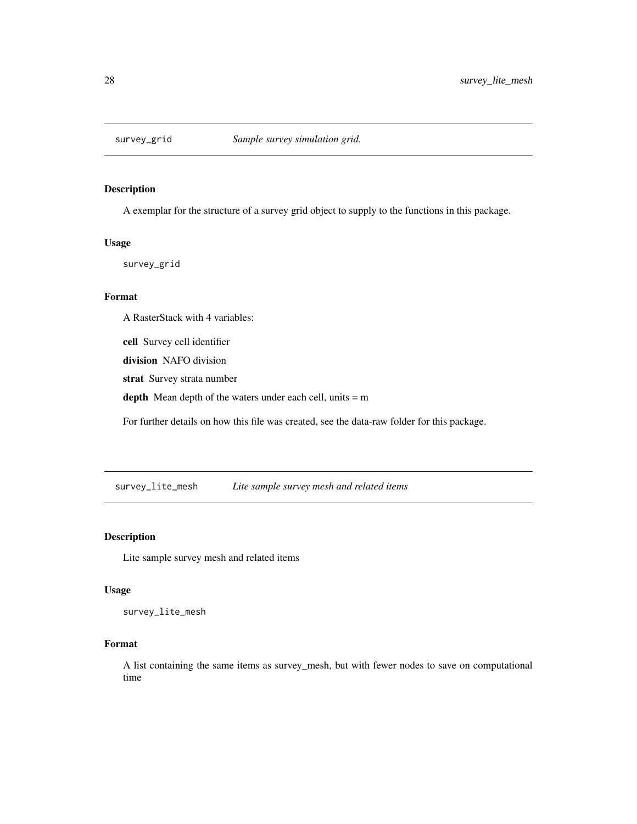<span id="page-27-1"></span><span id="page-27-0"></span>

A exemplar for the structure of a survey grid object to supply to the functions in this package.

#### Usage

survey\_grid

#### Format

A RasterStack with 4 variables:

cell Survey cell identifier

division NAFO division

strat Survey strata number

depth Mean depth of the waters under each cell, units = m

For further details on how this file was created, see the data-raw folder for this package.

survey\_lite\_mesh *Lite sample survey mesh and related items*

#### Description

Lite sample survey mesh and related items

#### Usage

survey\_lite\_mesh

#### Format

A list containing the same items as survey\_mesh, but with fewer nodes to save on computational time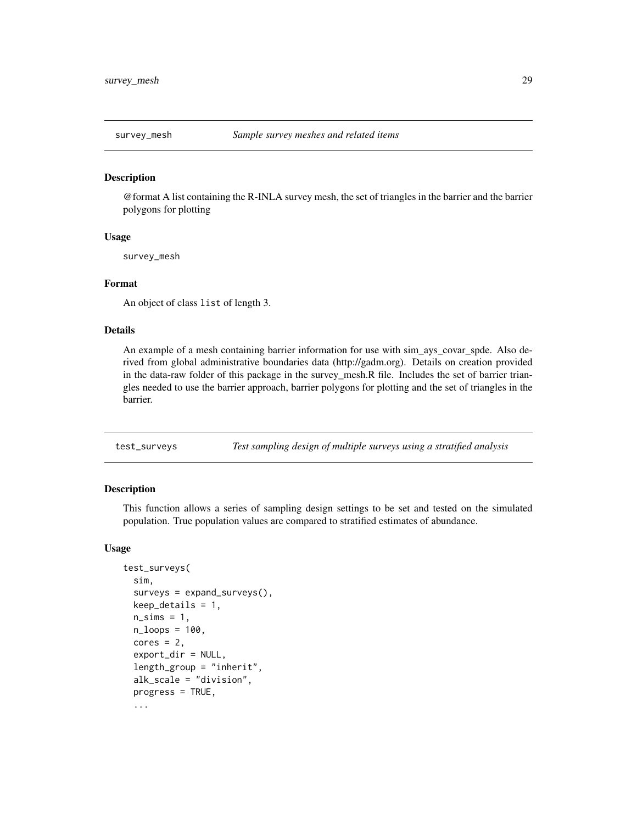<span id="page-28-0"></span>

@format A list containing the R-INLA survey mesh, the set of triangles in the barrier and the barrier polygons for plotting

#### Usage

survey\_mesh

#### Format

An object of class list of length 3.

#### Details

An example of a mesh containing barrier information for use with sim\_ays\_covar\_spde. Also derived from global administrative boundaries data (http://gadm.org). Details on creation provided in the data-raw folder of this package in the survey\_mesh.R file. Includes the set of barrier triangles needed to use the barrier approach, barrier polygons for plotting and the set of triangles in the barrier.

<span id="page-28-1"></span>test\_surveys *Test sampling design of multiple surveys using a stratified analysis*

#### Description

This function allows a series of sampling design settings to be set and tested on the simulated population. True population values are compared to stratified estimates of abundance.

#### Usage

```
test_surveys(
  sim,
  surveys = expand_surveys(),
 keep\_details = 1,n\_sims = 1,
  n_loops = 100,
  cores = 2,
  export_dir = NULL,
  length_group = "inherit",
  alk_scale = "division",
  progress = TRUE,
  ...
```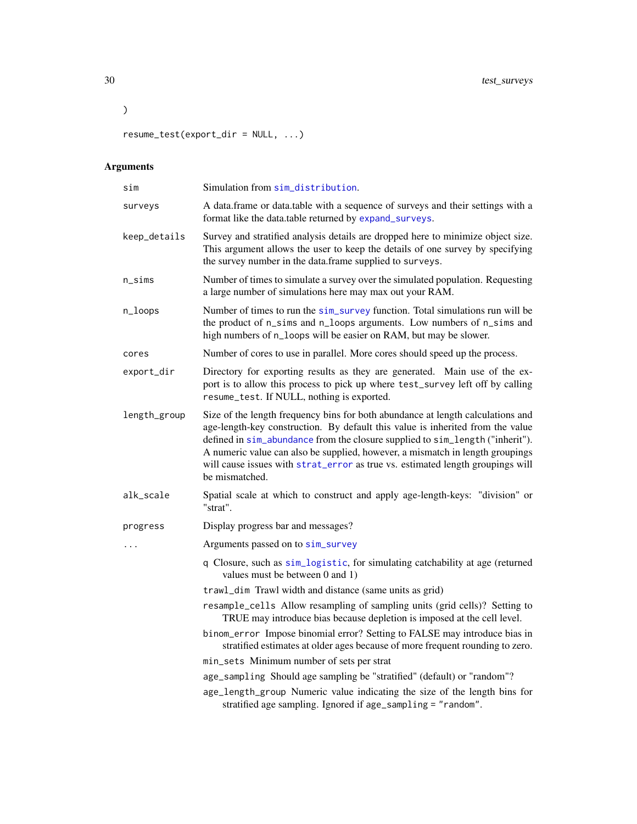<span id="page-29-0"></span> $\lambda$ 

resume\_test(export\_dir = NULL, ...)

## Arguments

| sim          | Simulation from sim_distribution.                                                                                                                                                                                                                                                                                                                                                                                                       |
|--------------|-----------------------------------------------------------------------------------------------------------------------------------------------------------------------------------------------------------------------------------------------------------------------------------------------------------------------------------------------------------------------------------------------------------------------------------------|
| surveys      | A data.frame or data.table with a sequence of surveys and their settings with a<br>format like the data.table returned by expand_surveys.                                                                                                                                                                                                                                                                                               |
| keep_details | Survey and stratified analysis details are dropped here to minimize object size.<br>This argument allows the user to keep the details of one survey by specifying<br>the survey number in the data.frame supplied to surveys.                                                                                                                                                                                                           |
| $n$ _sims    | Number of times to simulate a survey over the simulated population. Requesting<br>a large number of simulations here may max out your RAM.                                                                                                                                                                                                                                                                                              |
| n_loops      | Number of times to run the sim_survey function. Total simulations run will be<br>the product of n_sims and n_loops arguments. Low numbers of n_sims and<br>high numbers of n_loops will be easier on RAM, but may be slower.                                                                                                                                                                                                            |
| cores        | Number of cores to use in parallel. More cores should speed up the process.                                                                                                                                                                                                                                                                                                                                                             |
| export_dir   | Directory for exporting results as they are generated. Main use of the ex-<br>port is to allow this process to pick up where test_survey left off by calling<br>resume_test. If NULL, nothing is exported.                                                                                                                                                                                                                              |
| length_group | Size of the length frequency bins for both abundance at length calculations and<br>age-length-key construction. By default this value is inherited from the value<br>defined in sim_abundance from the closure supplied to sim_length ("inherit").<br>A numeric value can also be supplied, however, a mismatch in length groupings<br>will cause issues with strat_error as true vs. estimated length groupings will<br>be mismatched. |
| alk_scale    | Spatial scale at which to construct and apply age-length-keys: "division" or<br>"strat".                                                                                                                                                                                                                                                                                                                                                |
| progress     | Display progress bar and messages?                                                                                                                                                                                                                                                                                                                                                                                                      |
| .            | Arguments passed on to sim_survey                                                                                                                                                                                                                                                                                                                                                                                                       |
|              | q Closure, such as sim_logistic, for simulating catchability at age (returned<br>values must be between 0 and 1)                                                                                                                                                                                                                                                                                                                        |
|              | trawl_dim Trawl width and distance (same units as grid)                                                                                                                                                                                                                                                                                                                                                                                 |
|              | resample_cells Allow resampling of sampling units (grid cells)? Setting to<br>TRUE may introduce bias because depletion is imposed at the cell level.                                                                                                                                                                                                                                                                                   |
|              | binom_error Impose binomial error? Setting to FALSE may introduce bias in<br>stratified estimates at older ages because of more frequent rounding to zero.                                                                                                                                                                                                                                                                              |
|              | min_sets Minimum number of sets per strat                                                                                                                                                                                                                                                                                                                                                                                               |
|              | age_sampling Should age sampling be "stratified" (default) or "random"?                                                                                                                                                                                                                                                                                                                                                                 |
|              | age_length_group Numeric value indicating the size of the length bins for<br>stratified age sampling. Ignored if age_sampling = "random".                                                                                                                                                                                                                                                                                               |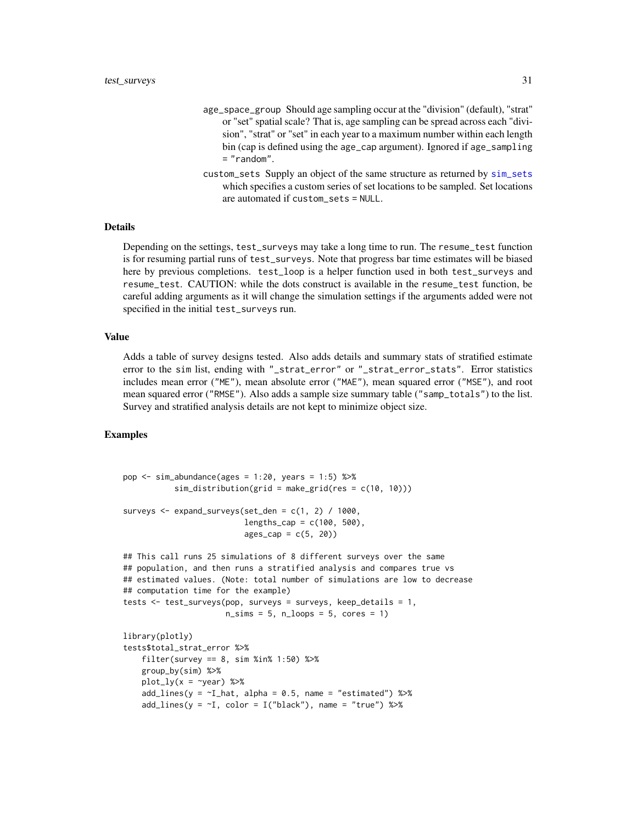- <span id="page-30-0"></span>age\_space\_group Should age sampling occur at the "division" (default), "strat" or "set" spatial scale? That is, age sampling can be spread across each "division", "strat" or "set" in each year to a maximum number within each length bin (cap is defined using the age\_cap argument). Ignored if age\_sampling = "random".
- custom\_sets Supply an object of the same structure as returned by [sim\\_sets](#page-19-1) which specifies a custom series of set locations to be sampled. Set locations are automated if custom\_sets = NULL.

#### Details

Depending on the settings, test\_surveys may take a long time to run. The resume\_test function is for resuming partial runs of test\_surveys. Note that progress bar time estimates will be biased here by previous completions. test\_loop is a helper function used in both test\_surveys and resume\_test. CAUTION: while the dots construct is available in the resume\_test function, be careful adding arguments as it will change the simulation settings if the arguments added were not specified in the initial test\_surveys run.

#### Value

Adds a table of survey designs tested. Also adds details and summary stats of stratified estimate error to the sim list, ending with "\_strat\_error" or "\_strat\_error\_stats". Error statistics includes mean error ("ME"), mean absolute error ("MAE"), mean squared error ("MSE"), and root mean squared error ("RMSE"). Also adds a sample size summary table ("samp\_totals") to the list. Survey and stratified analysis details are not kept to minimize object size.

#### Examples

```
pop \le sim_abundance(ages = 1:20, years = 1:5) %\gg%
           sim\_distribution(grid = make\_grid(res = c(10, 10)))surveys \leq expand_surveys(set_den = c(1, 2) / 1000,
                          lengths_cap = c(100, 500),
                          ages\_cap = c(5, 20)## This call runs 25 simulations of 8 different surveys over the same
## population, and then runs a stratified analysis and compares true vs
## estimated values. (Note: total number of simulations are low to decrease
## computation time for the example)
tests <- test_surveys(pop, surveys = surveys, keep_details = 1,
                      n_s = 5, n_l = 5, cores = 1)library(plotly)
tests$total_strat_error %>%
    filter(survey == 8, sim %in% 1:50) %>%
    group_by(sim) %>%
   plot_{1}y(x = \gamma year) %>%
    add\_lines(y = \sim I\_hat, alpha = 0.5, name = "estimated") %>add\_lines(y = -I, color = I("black"), name = "true") %>%
```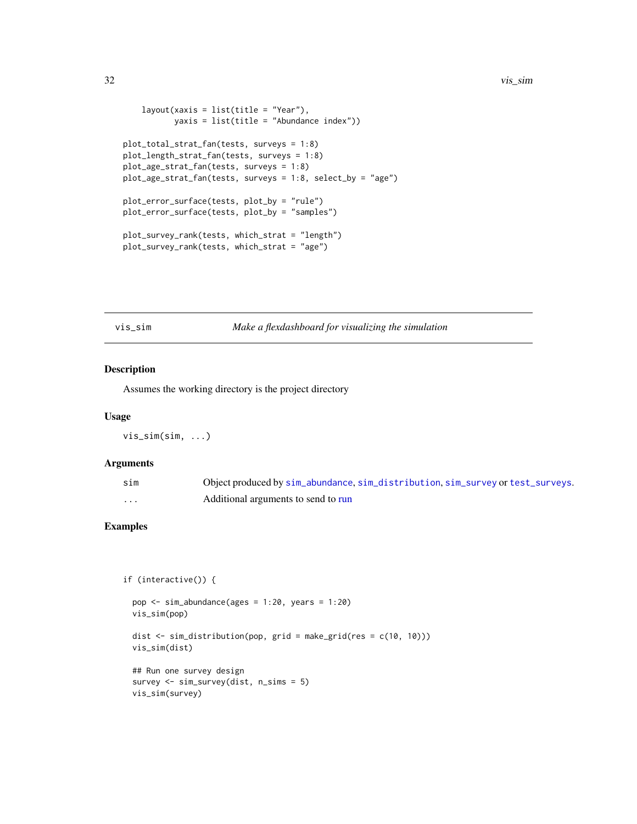```
layout(xaxis = list(title = "Year"),
           yaxis = list(title = "Abundance index"))
plot_total_strat_fan(tests, surveys = 1:8)
plot_length_strat_fan(tests, surveys = 1:8)
plot_age_strat_fan(tests, surveys = 1:8)
plot_age_strat_fan(tests, surveys = 1:8, select_by = "age")
plot_error_surface(tests, plot_by = "rule")
plot_error_surface(tests, plot_by = "samples")
plot_survey_rank(tests, which_strat = "length")
plot_survey_rank(tests, which_strat = "age")
```
vis\_sim *Make a flexdashboard for visualizing the simulation*

#### Description

Assumes the working directory is the project directory

#### Usage

vis\_sim(sim, ...)

#### Arguments

| sim      | Object produced by sim_abundance, sim_distribution, sim_survey or test_surveys. |
|----------|---------------------------------------------------------------------------------|
| $\cdots$ | Additional arguments to send to run                                             |

#### Examples

```
if (interactive()) {
```

```
pop <- sim_abundance(ages = 1:20, years = 1:20)
vis_sim(pop)
dist \le sim_distribution(pop, grid = make_grid(res = c(10, 10)))
vis_sim(dist)
## Run one survey design
survey <- sim_survey(dist, n_sims = 5)
vis_sim(survey)
```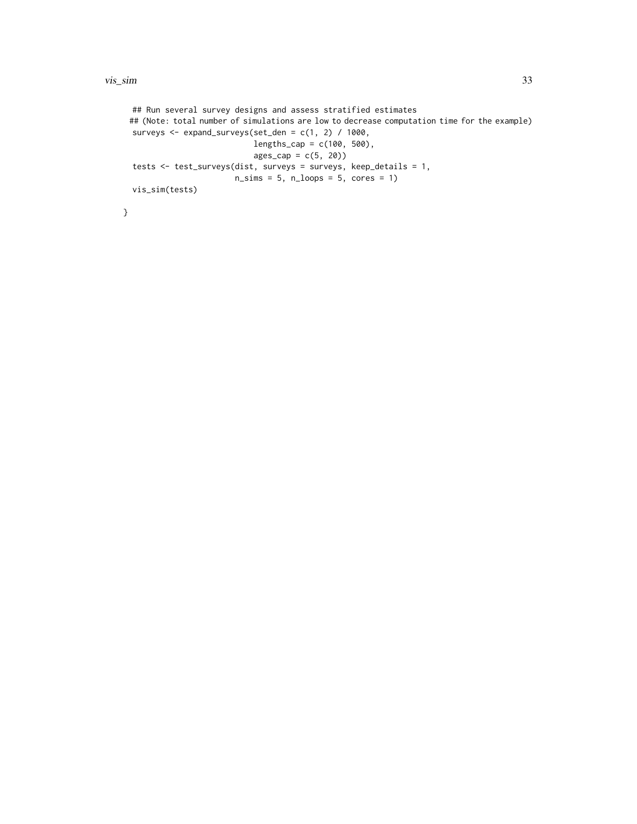```
## Run several survey designs and assess stratified estimates
## (Note: total number of simulations are low to decrease computation time for the example)
surveys <- expand_surveys(set_den = c(1, 2) / 1000,
                          lengths_{cap} = c(100, 500),
                          ages\_cap = c(5, 20)tests <- test_surveys(dist, surveys = surveys, keep_details = 1,
                      n_s = 5, n_l = 5, cores = 1)vis_sim(tests)
```
}